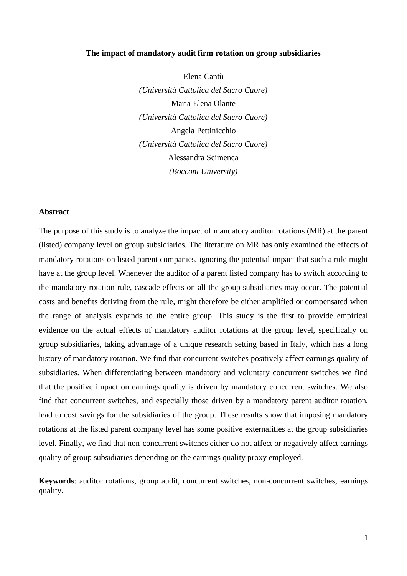#### **The impact of mandatory audit firm rotation on group subsidiaries**

Elena Cantù *(Università Cattolica del Sacro Cuore)* Maria Elena Olante *(Università Cattolica del Sacro Cuore)* Angela Pettinicchio *(Università Cattolica del Sacro Cuore)* Alessandra Scimenca *(Bocconi University)*

#### **Abstract**

The purpose of this study is to analyze the impact of mandatory auditor rotations (MR) at the parent (listed) company level on group subsidiaries. The literature on MR has only examined the effects of mandatory rotations on listed parent companies, ignoring the potential impact that such a rule might have at the group level. Whenever the auditor of a parent listed company has to switch according to the mandatory rotation rule, cascade effects on all the group subsidiaries may occur. The potential costs and benefits deriving from the rule, might therefore be either amplified or compensated when the range of analysis expands to the entire group. This study is the first to provide empirical evidence on the actual effects of mandatory auditor rotations at the group level, specifically on group subsidiaries, taking advantage of a unique research setting based in Italy, which has a long history of mandatory rotation. We find that concurrent switches positively affect earnings quality of subsidiaries. When differentiating between mandatory and voluntary concurrent switches we find that the positive impact on earnings quality is driven by mandatory concurrent switches. We also find that concurrent switches, and especially those driven by a mandatory parent auditor rotation, lead to cost savings for the subsidiaries of the group. These results show that imposing mandatory rotations at the listed parent company level has some positive externalities at the group subsidiaries level. Finally, we find that non-concurrent switches either do not affect or negatively affect earnings quality of group subsidiaries depending on the earnings quality proxy employed.

**Keywords**: auditor rotations, group audit, concurrent switches, non-concurrent switches, earnings quality.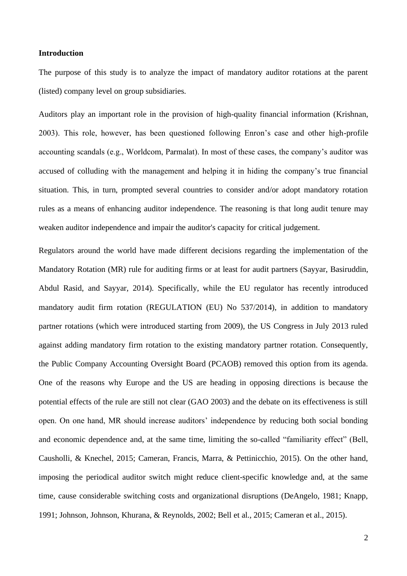#### **Introduction**

The purpose of this study is to analyze the impact of mandatory auditor rotations at the parent (listed) company level on group subsidiaries.

Auditors play an important role in the provision of high-quality financial information (Krishnan, 2003). This role, however, has been questioned following Enron's case and other high-profile accounting scandals (e.g., Worldcom, Parmalat). In most of these cases, the company's auditor was accused of colluding with the management and helping it in hiding the company's true financial situation. This, in turn, prompted several countries to consider and/or adopt mandatory rotation rules as a means of enhancing auditor independence. The reasoning is that long audit tenure may weaken auditor independence and impair the auditor's capacity for critical judgement.

Regulators around the world have made different decisions regarding the implementation of the Mandatory Rotation (MR) rule for auditing firms or at least for audit partners (Sayyar, Basiruddin, Abdul Rasid, and Sayyar, 2014). Specifically, while the EU regulator has recently introduced mandatory audit firm rotation (REGULATION (EU) No 537/2014), in addition to mandatory partner rotations (which were introduced starting from 2009), the US Congress in July 2013 ruled against adding mandatory firm rotation to the existing mandatory partner rotation. Consequently, the Public Company Accounting Oversight Board (PCAOB) removed this option from its agenda. One of the reasons why Europe and the US are heading in opposing directions is because the potential effects of the rule are still not clear (GAO 2003) and the debate on its effectiveness is still open. On one hand, MR should increase auditors' independence by reducing both social bonding and economic dependence and, at the same time, limiting the so-called "familiarity effect" (Bell, Causholli, & Knechel, 2015; Cameran, Francis, Marra, & Pettinicchio, 2015). On the other hand, imposing the periodical auditor switch might reduce client-specific knowledge and, at the same time, cause considerable switching costs and organizational disruptions (DeAngelo, 1981; Knapp, 1991; Johnson, Johnson, Khurana, & Reynolds, 2002; Bell et al., 2015; Cameran et al., 2015).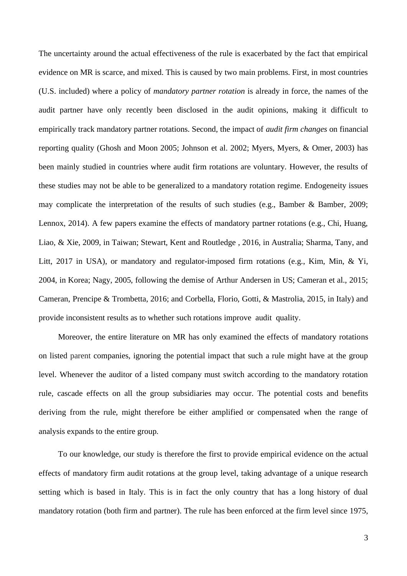The uncertainty around the actual effectiveness of the rule is exacerbated by the fact that empirical evidence on MR is scarce, and mixed. This is caused by two main problems. First, in most countries (U.S. included) where a policy of *mandatory partner rotation* is already in force, the names of the audit partner have only recently been disclosed in the audit opinions, making it difficult to empirically track mandatory partner rotations. Second, the impact of *audit firm changes* on financial reporting quality (Ghosh and Moon 2005; Johnson et al. 2002; Myers, Myers, & Omer, 2003) has been mainly studied in countries where audit firm rotations are voluntary. However, the results of these studies may not be able to be generalized to a mandatory rotation regime. Endogeneity issues may complicate the interpretation of the results of such studies (e.g., Bamber & Bamber, 2009; Lennox, 2014). A few papers examine the effects of mandatory partner rotations (e.g., Chi, Huang, Liao, & Xie, 2009, in Taiwan; Stewart, Kent and Routledge , 2016, in Australia; Sharma, Tany, and Litt, 2017 in USA), or mandatory and regulator-imposed firm rotations (e.g., Kim, Min, & Yi, 2004, in Korea; Nagy, 2005, following the demise of Arthur Andersen in US; Cameran et al., 2015; Cameran, Prencipe & Trombetta, 2016; and Corbella, Florio, Gotti, & Mastrolia, 2015, in Italy) and provide inconsistent results as to whether such rotations improve audit quality.

Moreover, the entire literature on MR has only examined the effects of mandatory rotations on listed parent companies, ignoring the potential impact that such a rule might have at the group level. Whenever the auditor of a listed company must switch according to the mandatory rotation rule, cascade effects on all the group subsidiaries may occur. The potential costs and benefits deriving from the rule, might therefore be either amplified or compensated when the range of analysis expands to the entire group.

To our knowledge, our study is therefore the first to provide empirical evidence on the actual effects of mandatory firm audit rotations at the group level, taking advantage of a unique research setting which is based in Italy. This is in fact the only country that has a long history of dual mandatory rotation (both firm and partner). The rule has been enforced at the firm level since 1975,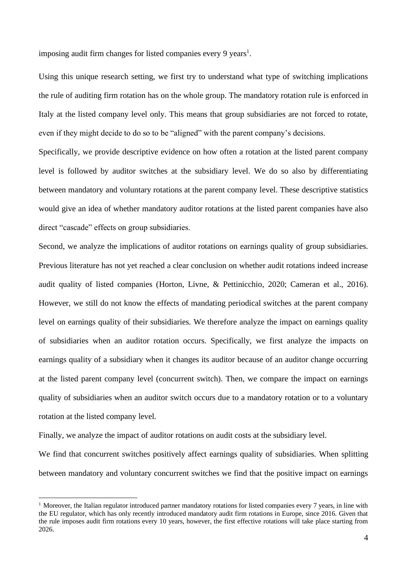imposing audit firm changes for listed companies every 9 years<sup>1</sup>.

Using this unique research setting, we first try to understand what type of switching implications the rule of auditing firm rotation has on the whole group. The mandatory rotation rule is enforced in Italy at the listed company level only. This means that group subsidiaries are not forced to rotate, even if they might decide to do so to be "aligned" with the parent company's decisions.

Specifically, we provide descriptive evidence on how often a rotation at the listed parent company level is followed by auditor switches at the subsidiary level. We do so also by differentiating between mandatory and voluntary rotations at the parent company level. These descriptive statistics would give an idea of whether mandatory auditor rotations at the listed parent companies have also direct "cascade" effects on group subsidiaries.

Second, we analyze the implications of auditor rotations on earnings quality of group subsidiaries. Previous literature has not yet reached a clear conclusion on whether audit rotations indeed increase audit quality of listed companies (Horton, Livne, & Pettinicchio, 2020; Cameran et al., 2016). However, we still do not know the effects of mandating periodical switches at the parent company level on earnings quality of their subsidiaries. We therefore analyze the impact on earnings quality of subsidiaries when an auditor rotation occurs. Specifically, we first analyze the impacts on earnings quality of a subsidiary when it changes its auditor because of an auditor change occurring at the listed parent company level (concurrent switch). Then, we compare the impact on earnings quality of subsidiaries when an auditor switch occurs due to a mandatory rotation or to a voluntary rotation at the listed company level.

Finally, we analyze the impact of auditor rotations on audit costs at the subsidiary level.

We find that concurrent switches positively affect earnings quality of subsidiaries. When splitting between mandatory and voluntary concurrent switches we find that the positive impact on earnings

<sup>&</sup>lt;sup>1</sup> Moreover, the Italian regulator introduced partner mandatory rotations for listed companies every 7 years, in line with the EU regulator, which has only recently introduced mandatory audit firm rotations in Europe, since 2016. Given that the rule imposes audit firm rotations every 10 years, however, the first effective rotations will take place starting from 2026.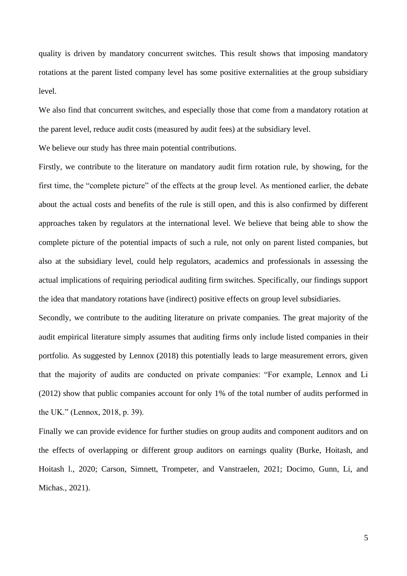quality is driven by mandatory concurrent switches. This result shows that imposing mandatory rotations at the parent listed company level has some positive externalities at the group subsidiary level.

We also find that concurrent switches, and especially those that come from a mandatory rotation at the parent level, reduce audit costs (measured by audit fees) at the subsidiary level.

We believe our study has three main potential contributions.

Firstly, we contribute to the literature on mandatory audit firm rotation rule, by showing, for the first time, the "complete picture" of the effects at the group level. As mentioned earlier, the debate about the actual costs and benefits of the rule is still open, and this is also confirmed by different approaches taken by regulators at the international level. We believe that being able to show the complete picture of the potential impacts of such a rule, not only on parent listed companies, but also at the subsidiary level, could help regulators, academics and professionals in assessing the actual implications of requiring periodical auditing firm switches. Specifically, our findings support the idea that mandatory rotations have (indirect) positive effects on group level subsidiaries.

Secondly, we contribute to the auditing literature on private companies. The great majority of the audit empirical literature simply assumes that auditing firms only include listed companies in their portfolio. As suggested by Lennox (2018) this potentially leads to large measurement errors, given that the majority of audits are conducted on private companies: "For example, Lennox and Li (2012) show that public companies account for only 1% of the total number of audits performed in the UK." (Lennox, 2018, p. 39).

Finally we can provide evidence for further studies on group audits and component auditors and on the effects of overlapping or different group auditors on earnings quality (Burke, Hoitash, and Hoitash l., 2020; Carson, Simnett, Trompeter, and Vanstraelen, 2021; Docimo, Gunn, Li, and Michas., 2021).

5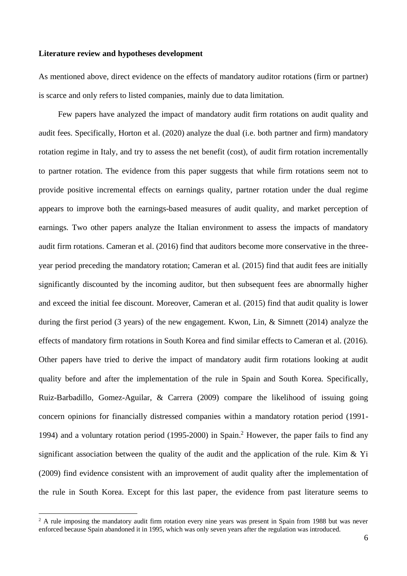#### **Literature review and hypotheses development**

As mentioned above, direct evidence on the effects of mandatory auditor rotations (firm or partner) is scarce and only refers to listed companies, mainly due to data limitation.

Few papers have analyzed the impact of mandatory audit firm rotations on audit quality and audit fees. Specifically, Horton et al. (2020) analyze the dual (i.e. both partner and firm) mandatory rotation regime in Italy, and try to assess the net benefit (cost), of audit firm rotation incrementally to partner rotation. The evidence from this paper suggests that while firm rotations seem not to provide positive incremental effects on earnings quality, partner rotation under the dual regime appears to improve both the earnings-based measures of audit quality, and market perception of earnings. Two other papers analyze the Italian environment to assess the impacts of mandatory audit firm rotations. Cameran et al. (2016) find that auditors become more conservative in the threeyear period preceding the mandatory rotation; Cameran et al. (2015) find that audit fees are initially significantly discounted by the incoming auditor, but then subsequent fees are abnormally higher and exceed the initial fee discount. Moreover, Cameran et al. (2015) find that audit quality is lower during the first period (3 years) of the new engagement. Kwon, Lin, & Simnett (2014) analyze the effects of mandatory firm rotations in South Korea and find similar effects to Cameran et al. (2016). Other papers have tried to derive the impact of mandatory audit firm rotations looking at audit quality before and after the implementation of the rule in Spain and South Korea. Specifically, Ruiz-Barbadillo, Gomez-Aguilar, & Carrera (2009) compare the likelihood of issuing going concern opinions for financially distressed companies within a mandatory rotation period (1991- 1994) and a voluntary rotation period (1995-2000) in Spain.<sup>2</sup> However, the paper fails to find any significant association between the quality of the audit and the application of the rule. Kim & Yi (2009) find evidence consistent with an improvement of audit quality after the implementation of the rule in South Korea. Except for this last paper, the evidence from past literature seems to

<sup>&</sup>lt;sup>2</sup> A rule imposing the mandatory audit firm rotation every nine years was present in Spain from 1988 but was never enforced because Spain abandoned it in 1995, which was only seven years after the regulation was introduced.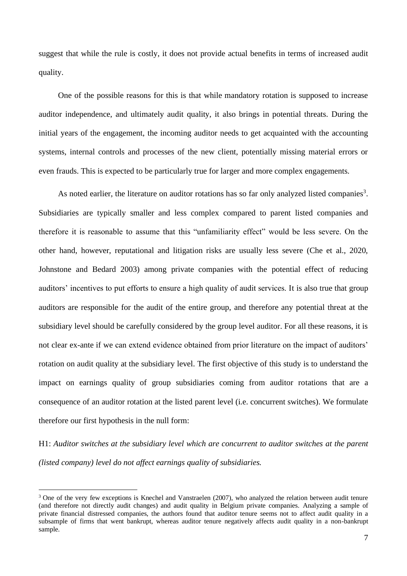suggest that while the rule is costly, it does not provide actual benefits in terms of increased audit quality.

One of the possible reasons for this is that while mandatory rotation is supposed to increase auditor independence, and ultimately audit quality, it also brings in potential threats. During the initial years of the engagement, the incoming auditor needs to get acquainted with the accounting systems, internal controls and processes of the new client, potentially missing material errors or even frauds. This is expected to be particularly true for larger and more complex engagements.

As noted earlier, the literature on auditor rotations has so far only analyzed listed companies<sup>3</sup>. Subsidiaries are typically smaller and less complex compared to parent listed companies and therefore it is reasonable to assume that this "unfamiliarity effect" would be less severe. On the other hand, however, reputational and litigation risks are usually less severe (Che et al., 2020, Johnstone and Bedard 2003) among private companies with the potential effect of reducing auditors' incentives to put efforts to ensure a high quality of audit services. It is also true that group auditors are responsible for the audit of the entire group, and therefore any potential threat at the subsidiary level should be carefully considered by the group level auditor. For all these reasons, it is not clear ex-ante if we can extend evidence obtained from prior literature on the impact of auditors' rotation on audit quality at the subsidiary level. The first objective of this study is to understand the impact on earnings quality of group subsidiaries coming from auditor rotations that are a consequence of an auditor rotation at the listed parent level (i.e. concurrent switches). We formulate therefore our first hypothesis in the null form:

H1: *Auditor switches at the subsidiary level which are concurrent to auditor switches at the parent (listed company) level do not affect earnings quality of subsidiaries.*

<sup>&</sup>lt;sup>3</sup> One of the very few exceptions is Knechel and Vanstraelen (2007), who analyzed the relation between audit tenure (and therefore not directly audit changes) and audit quality in Belgium private companies. Analyzing a sample of private financial distressed companies, the authors found that auditor tenure seems not to affect audit quality in a subsample of firms that went bankrupt, whereas auditor tenure negatively affects audit quality in a non-bankrupt sample.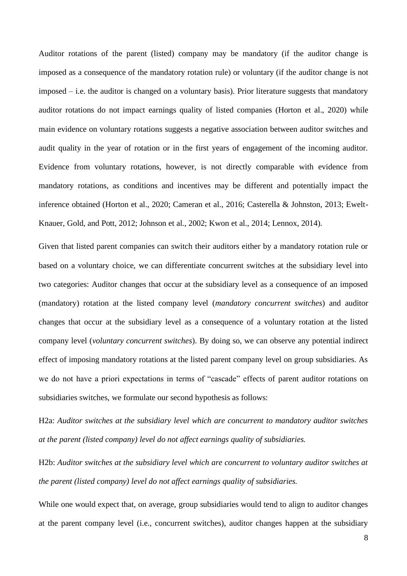Auditor rotations of the parent (listed) company may be mandatory (if the auditor change is imposed as a consequence of the mandatory rotation rule) or voluntary (if the auditor change is not imposed – i.e. the auditor is changed on a voluntary basis). Prior literature suggests that mandatory auditor rotations do not impact earnings quality of listed companies (Horton et al., 2020) while main evidence on voluntary rotations suggests a negative association between auditor switches and audit quality in the year of rotation or in the first years of engagement of the incoming auditor. Evidence from voluntary rotations, however, is not directly comparable with evidence from mandatory rotations, as conditions and incentives may be different and potentially impact the inference obtained (Horton et al., 2020; Cameran et al., 2016; Casterella & Johnston, 2013; Ewelt-Knauer, Gold, and Pott, 2012; Johnson et al., 2002; Kwon et al., 2014; Lennox, 2014).

Given that listed parent companies can switch their auditors either by a mandatory rotation rule or based on a voluntary choice, we can differentiate concurrent switches at the subsidiary level into two categories: Auditor changes that occur at the subsidiary level as a consequence of an imposed (mandatory) rotation at the listed company level (*mandatory concurrent switches*) and auditor changes that occur at the subsidiary level as a consequence of a voluntary rotation at the listed company level (*voluntary concurrent switches*). By doing so, we can observe any potential indirect effect of imposing mandatory rotations at the listed parent company level on group subsidiaries. As we do not have a priori expectations in terms of "cascade" effects of parent auditor rotations on subsidiaries switches, we formulate our second hypothesis as follows:

H2a: *Auditor switches at the subsidiary level which are concurrent to mandatory auditor switches at the parent (listed company) level do not affect earnings quality of subsidiaries.*

H2b: *Auditor switches at the subsidiary level which are concurrent to voluntary auditor switches at the parent (listed company) level do not affect earnings quality of subsidiaries.*

While one would expect that, on average, group subsidiaries would tend to align to auditor changes at the parent company level (i.e., concurrent switches), auditor changes happen at the subsidiary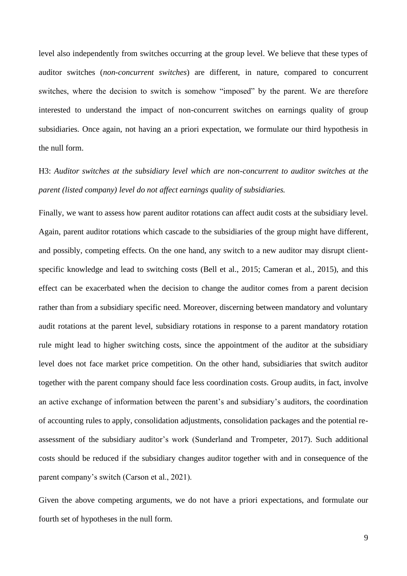level also independently from switches occurring at the group level. We believe that these types of auditor switches (*non-concurrent switches*) are different, in nature, compared to concurrent switches, where the decision to switch is somehow "imposed" by the parent. We are therefore interested to understand the impact of non-concurrent switches on earnings quality of group subsidiaries. Once again, not having an a priori expectation, we formulate our third hypothesis in the null form.

H3: *Auditor switches at the subsidiary level which are non-concurrent to auditor switches at the parent (listed company) level do not affect earnings quality of subsidiaries.*

Finally, we want to assess how parent auditor rotations can affect audit costs at the subsidiary level. Again, parent auditor rotations which cascade to the subsidiaries of the group might have different, and possibly, competing effects. On the one hand, any switch to a new auditor may disrupt clientspecific knowledge and lead to switching costs (Bell et al., 2015; Cameran et al., 2015), and this effect can be exacerbated when the decision to change the auditor comes from a parent decision rather than from a subsidiary specific need. Moreover, discerning between mandatory and voluntary audit rotations at the parent level, subsidiary rotations in response to a parent mandatory rotation rule might lead to higher switching costs, since the appointment of the auditor at the subsidiary level does not face market price competition. On the other hand, subsidiaries that switch auditor together with the parent company should face less coordination costs. Group audits, in fact, involve an active exchange of information between the parent's and subsidiary's auditors, the coordination of accounting rules to apply, consolidation adjustments, consolidation packages and the potential reassessment of the subsidiary auditor's work (Sunderland and Trompeter, 2017). Such additional costs should be reduced if the subsidiary changes auditor together with and in consequence of the parent company's switch (Carson et al., 2021).

Given the above competing arguments, we do not have a priori expectations, and formulate our fourth set of hypotheses in the null form.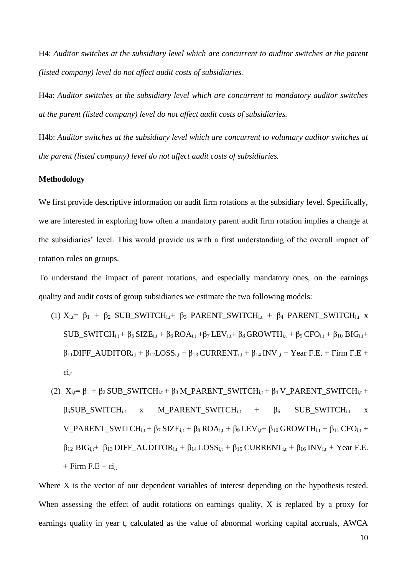H4: *Auditor switches at the subsidiary level which are concurrent to auditor switches at the parent (listed company) level do not affect audit costs of subsidiaries.*

H4a: *Auditor switches at the subsidiary level which are concurrent to mandatory auditor switches at the parent (listed company) level do not affect audit costs of subsidiaries.*

H4b: *Auditor switches at the subsidiary level which are concurrent to voluntary auditor switches at the parent (listed company) level do not affect audit costs of subsidiaries.*

#### **Methodology**

We first provide descriptive information on audit firm rotations at the subsidiary level. Specifically, we are interested in exploring how often a mandatory parent audit firm rotation implies a change at the subsidiaries' level. This would provide us with a first understanding of the overall impact of rotation rules on groups.

To understand the impact of parent rotations, and especially mandatory ones, on the earnings quality and audit costs of group subsidiaries we estimate the two following models:

- (1)  $X_{i,t} = \beta_1 + \beta_2$  SUB\_SWITCH<sub>i,t</sub> +  $\beta_3$  PARENT\_SWITCH<sub>i,t</sub> +  $\beta_4$  PARENT\_SWITCH<sub>i,t</sub> x  $SUB\_SWITCH_{i,t} + \beta_5 SIZE_{i,t} + \beta_6 ROA_{i,t} + \beta_7 LEV_{i,t} + \beta_8 GROWTH_{i,t} + \beta_9 CFO_{i,t} + \beta_{10} BIG_{i,t} +$  $\beta_{11}$ DIFF\_AUDITOR<sub>i,t</sub> +  $\beta_{12}$ LOSS<sub>i,t</sub> +  $\beta_{13}$ CURRENT<sub>i,t</sub> +  $\beta_{14}$  INV<sub>i,t</sub> + Year F.E. + Firm F.E +  $\dot{\epsilon}$ <sub>1.t</sub>
- (2)  $X_{i,t} = \beta_1 + \beta_2$  SUB\_SWITCH<sub>i.t</sub> +  $\beta_3$  M\_PARENT\_SWITCH<sub>i.t</sub> +  $\beta_4$  V\_PARENT\_SWITCH<sub>i.t</sub> +  $\beta_5$ SUB SWITCH<sub>i.t</sub> x M\_PARENT\_SWITCH<sub>i.t</sub> +  $\beta_6$  SUB\_SWITCH<sub>i.t</sub> x V\_PARENT\_SWITCH<sub>i,t</sub> + β<sub>7</sub> SIZE<sub>i,t</sub> + β<sub>8</sub> ROA<sub>i,t</sub> + β<sub>9</sub> LEV<sub>i,t</sub>+ β<sub>10</sub> GROWTH<sub>i,t</sub> + β<sub>11</sub> CFO<sub>i,t</sub> +  $\beta_{12}$  BIG<sub>i,t</sub>+  $\beta_{13}$  DIFF\_AUDITOR<sub>i,t</sub> +  $\beta_{14}$  LOSS<sub>i,t</sub> +  $\beta_{15}$  CURRENT<sub>i,t</sub> +  $\beta_{16}$  INV<sub>i,t</sub> + Year F.E.  $+$  Firm F.E +  $\epsilon i_t$

Where X is the vector of our dependent variables of interest depending on the hypothesis tested. When assessing the effect of audit rotations on earnings quality, X is replaced by a proxy for earnings quality in year t, calculated as the value of abnormal working capital accruals, AWCA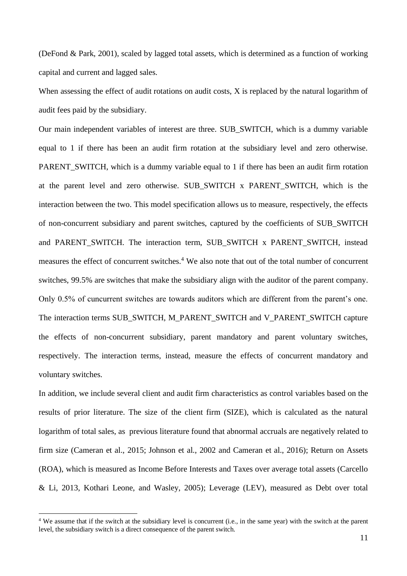(DeFond & Park, 2001), scaled by lagged total assets, which is determined as a function of working capital and current and lagged sales.

When assessing the effect of audit rotations on audit costs, X is replaced by the natural logarithm of audit fees paid by the subsidiary.

Our main independent variables of interest are three. SUB\_SWITCH, which is a dummy variable equal to 1 if there has been an audit firm rotation at the subsidiary level and zero otherwise. PARENT SWITCH, which is a dummy variable equal to 1 if there has been an audit firm rotation at the parent level and zero otherwise. SUB\_SWITCH x PARENT\_SWITCH, which is the interaction between the two. This model specification allows us to measure, respectively, the effects of non-concurrent subsidiary and parent switches, captured by the coefficients of SUB\_SWITCH and PARENT\_SWITCH. The interaction term, SUB\_SWITCH x PARENT\_SWITCH, instead measures the effect of concurrent switches.<sup>4</sup> We also note that out of the total number of concurrent switches, 99.5% are switches that make the subsidiary align with the auditor of the parent company. Only 0.5% of cuncurrent switches are towards auditors which are different from the parent's one. The interaction terms SUB\_SWITCH, M\_PARENT\_SWITCH and V\_PARENT\_SWITCH capture the effects of non-concurrent subsidiary, parent mandatory and parent voluntary switches, respectively. The interaction terms, instead, measure the effects of concurrent mandatory and voluntary switches.

In addition, we include several client and audit firm characteristics as control variables based on the results of prior literature. The size of the client firm (SIZE), which is calculated as the natural logarithm of total sales, as previous literature found that abnormal accruals are negatively related to firm size (Cameran et al., 2015; Johnson et al., 2002 and Cameran et al., 2016); Return on Assets (ROA), which is measured as Income Before Interests and Taxes over average total assets (Carcello & Li, 2013, Kothari Leone, and Wasley, 2005); Leverage (LEV), measured as Debt over total

<sup>&</sup>lt;sup>4</sup> We assume that if the switch at the subsidiary level is concurrent (i.e., in the same year) with the switch at the parent level, the subsidiary switch is a direct consequence of the parent switch.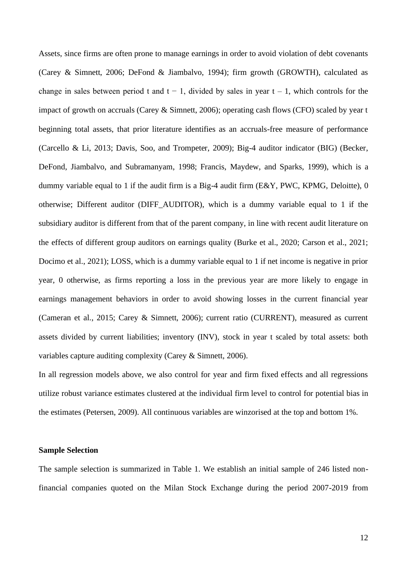Assets, since firms are often prone to manage earnings in order to avoid violation of debt covenants (Carey & Simnett, 2006; DeFond & Jiambalvo, 1994); firm growth (GROWTH), calculated as change in sales between period t and  $t - 1$ , divided by sales in year  $t - 1$ , which controls for the impact of growth on accruals (Carey & Simnett, 2006); operating cash flows (CFO) scaled by year t beginning total assets, that prior literature identifies as an accruals-free measure of performance (Carcello & Li, 2013; Davis, Soo, and Trompeter, 2009); Big-4 auditor indicator (BIG) (Becker, DeFond, Jiambalvo, and Subramanyam, 1998; Francis, Maydew, and Sparks, 1999), which is a dummy variable equal to 1 if the audit firm is a Big-4 audit firm (E&Y, PWC, KPMG, Deloitte), 0 otherwise; Different auditor (DIFF\_AUDITOR), which is a dummy variable equal to 1 if the subsidiary auditor is different from that of the parent company, in line with recent audit literature on the effects of different group auditors on earnings quality (Burke et al., 2020; Carson et al., 2021; Docimo et al., 2021); LOSS, which is a dummy variable equal to 1 if net income is negative in prior year, 0 otherwise, as firms reporting a loss in the previous year are more likely to engage in earnings management behaviors in order to avoid showing losses in the current financial year (Cameran et al., 2015; Carey & Simnett, 2006); current ratio (CURRENT), measured as current assets divided by current liabilities; inventory (INV), stock in year t scaled by total assets: both variables capture auditing complexity (Carey & Simnett, 2006).

In all regression models above, we also control for year and firm fixed effects and all regressions utilize robust variance estimates clustered at the individual firm level to control for potential bias in the estimates (Petersen, 2009). All continuous variables are winzorised at the top and bottom 1%.

#### **Sample Selection**

The sample selection is summarized in Table 1. We establish an initial sample of 246 listed nonfinancial companies quoted on the Milan Stock Exchange during the period 2007-2019 from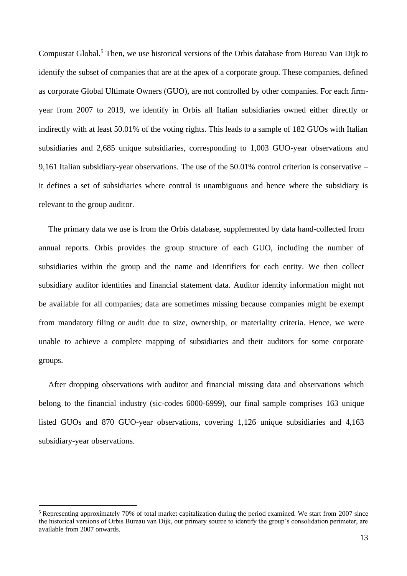Compustat Global.<sup>5</sup> Then, we use historical versions of the Orbis database from Bureau Van Dijk to identify the subset of companies that are at the apex of a corporate group. These companies, defined as corporate Global Ultimate Owners (GUO), are not controlled by other companies. For each firmyear from 2007 to 2019, we identify in Orbis all Italian subsidiaries owned either directly or indirectly with at least 50.01% of the voting rights. This leads to a sample of 182 GUOs with Italian subsidiaries and 2,685 unique subsidiaries, corresponding to 1,003 GUO-year observations and 9,161 Italian subsidiary-year observations. The use of the 50.01% control criterion is conservative – it defines a set of subsidiaries where control is unambiguous and hence where the subsidiary is relevant to the group auditor.

The primary data we use is from the Orbis database, supplemented by data hand-collected from annual reports. Orbis provides the group structure of each GUO, including the number of subsidiaries within the group and the name and identifiers for each entity. We then collect subsidiary auditor identities and financial statement data. Auditor identity information might not be available for all companies; data are sometimes missing because companies might be exempt from mandatory filing or audit due to size, ownership, or materiality criteria. Hence, we were unable to achieve a complete mapping of subsidiaries and their auditors for some corporate groups.

After dropping observations with auditor and financial missing data and observations which belong to the financial industry (sic-codes 6000-6999), our final sample comprises 163 unique listed GUOs and 870 GUO-year observations, covering 1,126 unique subsidiaries and 4,163 subsidiary-year observations.

<sup>&</sup>lt;sup>5</sup> Representing approximately 70% of total market capitalization during the period examined. We start from 2007 since the historical versions of Orbis Bureau van Dijk, our primary source to identify the group's consolidation perimeter, are available from 2007 onwards.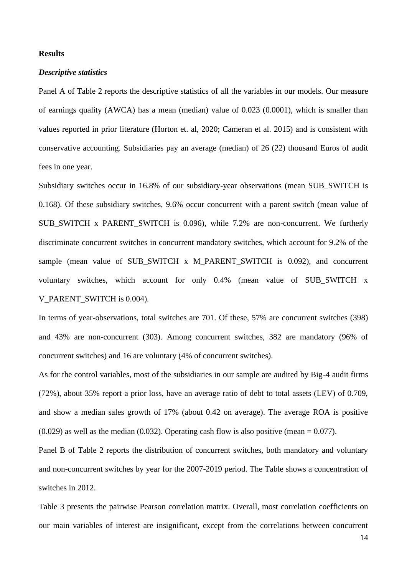#### **Results**

#### *Descriptive statistics*

Panel A of Table 2 reports the descriptive statistics of all the variables in our models. Our measure of earnings quality (AWCA) has a mean (median) value of 0.023 (0.0001), which is smaller than values reported in prior literature (Horton et. al, 2020; Cameran et al. 2015) and is consistent with conservative accounting. Subsidiaries pay an average (median) of 26 (22) thousand Euros of audit fees in one year.

Subsidiary switches occur in 16.8% of our subsidiary-year observations (mean SUB\_SWITCH is 0.168). Of these subsidiary switches, 9.6% occur concurrent with a parent switch (mean value of SUB SWITCH x PARENT SWITCH is 0.096), while 7.2% are non-concurrent. We furtherly discriminate concurrent switches in concurrent mandatory switches, which account for 9.2% of the sample (mean value of SUB SWITCH  $x$  M PARENT SWITCH is 0.092), and concurrent voluntary switches, which account for only 0.4% (mean value of SUB\_SWITCH x V\_PARENT\_SWITCH is 0.004).

In terms of year-observations, total switches are 701. Of these, 57% are concurrent switches (398) and 43% are non-concurrent (303). Among concurrent switches, 382 are mandatory (96% of concurrent switches) and 16 are voluntary (4% of concurrent switches).

As for the control variables, most of the subsidiaries in our sample are audited by Big-4 audit firms (72%), about 35% report a prior loss, have an average ratio of debt to total assets (LEV) of 0.709, and show a median sales growth of 17% (about 0.42 on average). The average ROA is positive  $(0.029)$  as well as the median  $(0.032)$ . Operating cash flow is also positive (mean = 0.077).

Panel B of Table 2 reports the distribution of concurrent switches, both mandatory and voluntary and non-concurrent switches by year for the 2007-2019 period. The Table shows a concentration of switches in 2012.

Table 3 presents the pairwise Pearson correlation matrix. Overall, most correlation coefficients on our main variables of interest are insignificant, except from the correlations between concurrent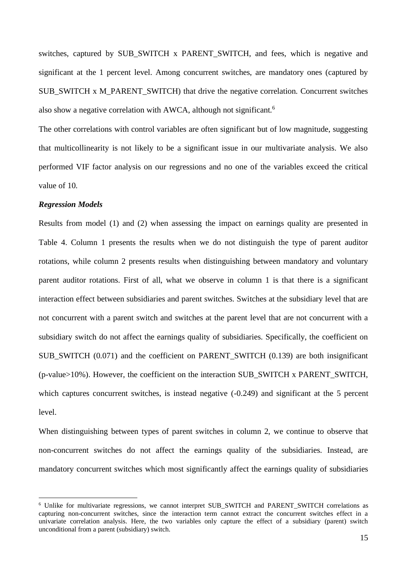switches, captured by SUB SWITCH x PARENT SWITCH, and fees, which is negative and significant at the 1 percent level. Among concurrent switches, are mandatory ones (captured by SUB\_SWITCH x M\_PARENT\_SWITCH) that drive the negative correlation. Concurrent switches also show a negative correlation with AWCA, although not significant.<sup>6</sup>

The other correlations with control variables are often significant but of low magnitude, suggesting that multicollinearity is not likely to be a significant issue in our multivariate analysis. We also performed VIF factor analysis on our regressions and no one of the variables exceed the critical value of 10.

#### *Regression Models*

Results from model (1) and (2) when assessing the impact on earnings quality are presented in Table 4. Column 1 presents the results when we do not distinguish the type of parent auditor rotations, while column 2 presents results when distinguishing between mandatory and voluntary parent auditor rotations. First of all, what we observe in column 1 is that there is a significant interaction effect between subsidiaries and parent switches. Switches at the subsidiary level that are not concurrent with a parent switch and switches at the parent level that are not concurrent with a subsidiary switch do not affect the earnings quality of subsidiaries. Specifically, the coefficient on SUB SWITCH (0.071) and the coefficient on PARENT SWITCH (0.139) are both insignificant (p-value>10%). However, the coefficient on the interaction SUB\_SWITCH x PARENT\_SWITCH, which captures concurrent switches, is instead negative  $(-0.249)$  and significant at the 5 percent level.

When distinguishing between types of parent switches in column 2, we continue to observe that non-concurrent switches do not affect the earnings quality of the subsidiaries. Instead, are mandatory concurrent switches which most significantly affect the earnings quality of subsidiaries

<sup>&</sup>lt;sup>6</sup> Unlike for multivariate regressions, we cannot interpret SUB SWITCH and PARENT SWITCH correlations as capturing non-concurrent switches, since the interaction term cannot extract the concurrent switches effect in a univariate correlation analysis. Here, the two variables only capture the effect of a subsidiary (parent) switch unconditional from a parent (subsidiary) switch.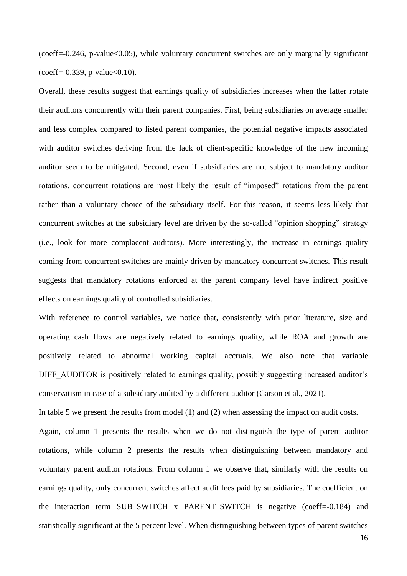$(coeff=-0.246, p-value<0.05)$ , while voluntary concurrent switches are only marginally significant  $(coeff=0.339, p-value<0.10).$ 

Overall, these results suggest that earnings quality of subsidiaries increases when the latter rotate their auditors concurrently with their parent companies. First, being subsidiaries on average smaller and less complex compared to listed parent companies, the potential negative impacts associated with auditor switches deriving from the lack of client-specific knowledge of the new incoming auditor seem to be mitigated. Second, even if subsidiaries are not subject to mandatory auditor rotations, concurrent rotations are most likely the result of "imposed" rotations from the parent rather than a voluntary choice of the subsidiary itself. For this reason, it seems less likely that concurrent switches at the subsidiary level are driven by the so-called "opinion shopping" strategy (i.e., look for more complacent auditors). More interestingly, the increase in earnings quality coming from concurrent switches are mainly driven by mandatory concurrent switches. This result suggests that mandatory rotations enforced at the parent company level have indirect positive effects on earnings quality of controlled subsidiaries.

With reference to control variables, we notice that, consistently with prior literature, size and operating cash flows are negatively related to earnings quality, while ROA and growth are positively related to abnormal working capital accruals. We also note that variable DIFF\_AUDITOR is positively related to earnings quality, possibly suggesting increased auditor's conservatism in case of a subsidiary audited by a different auditor (Carson et al., 2021).

In table 5 we present the results from model (1) and (2) when assessing the impact on audit costs.

Again, column 1 presents the results when we do not distinguish the type of parent auditor rotations, while column 2 presents the results when distinguishing between mandatory and voluntary parent auditor rotations. From column 1 we observe that, similarly with the results on earnings quality, only concurrent switches affect audit fees paid by subsidiaries. The coefficient on the interaction term SUB SWITCH x PARENT SWITCH is negative (coeff=-0.184) and statistically significant at the 5 percent level. When distinguishing between types of parent switches

16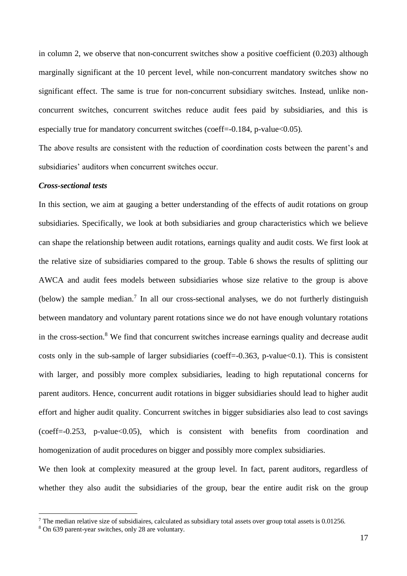in column 2, we observe that non-concurrent switches show a positive coefficient (0.203) although marginally significant at the 10 percent level, while non-concurrent mandatory switches show no significant effect. The same is true for non-concurrent subsidiary switches. Instead, unlike nonconcurrent switches, concurrent switches reduce audit fees paid by subsidiaries, and this is especially true for mandatory concurrent switches (coeff=-0.184, p-value  $< 0.05$ ).

The above results are consistent with the reduction of coordination costs between the parent's and subsidiaries' auditors when concurrent switches occur.

#### *Cross-sectional tests*

In this section, we aim at gauging a better understanding of the effects of audit rotations on group subsidiaries. Specifically, we look at both subsidiaries and group characteristics which we believe can shape the relationship between audit rotations, earnings quality and audit costs. We first look at the relative size of subsidiaries compared to the group. Table 6 shows the results of splitting our AWCA and audit fees models between subsidiaries whose size relative to the group is above (below) the sample median.<sup>7</sup> In all our cross-sectional analyses, we do not furtherly distinguish between mandatory and voluntary parent rotations since we do not have enough voluntary rotations in the cross-section.<sup>8</sup> We find that concurrent switches increase earnings quality and decrease audit costs only in the sub-sample of larger subsidiaries (coeff= $-0.363$ , p-value $< 0.1$ ). This is consistent with larger, and possibly more complex subsidiaries, leading to high reputational concerns for parent auditors. Hence, concurrent audit rotations in bigger subsidiaries should lead to higher audit effort and higher audit quality. Concurrent switches in bigger subsidiaries also lead to cost savings  $(coeff=0.253, p-value<0.05)$ , which is consistent with benefits from coordination and homogenization of audit procedures on bigger and possibly more complex subsidiaries.

We then look at complexity measured at the group level. In fact, parent auditors, regardless of whether they also audit the subsidiaries of the group, bear the entire audit risk on the group

<sup>&</sup>lt;sup>7</sup> The median relative size of subsidiaires, calculated as subsidiary total assets over group total assets is 0.01256.

<sup>8</sup> On 639 parent-year switches, only 28 are voluntary.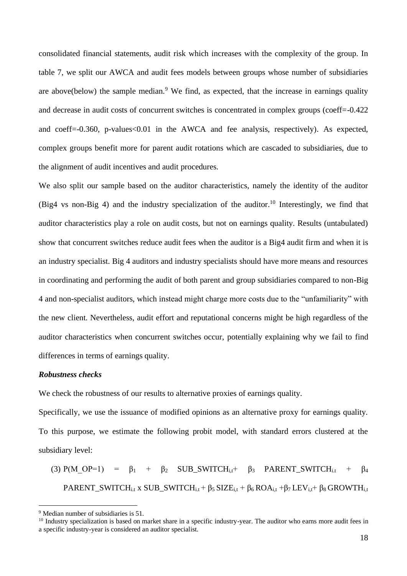consolidated financial statements, audit risk which increases with the complexity of the group. In table 7, we split our AWCA and audit fees models between groups whose number of subsidiaries are above(below) the sample median.<sup>9</sup> We find, as expected, that the increase in earnings quality and decrease in audit costs of concurrent switches is concentrated in complex groups (coeff=-0.422 and coeff=-0.360, p-values<0.01 in the AWCA and fee analysis, respectively). As expected, complex groups benefit more for parent audit rotations which are cascaded to subsidiaries, due to the alignment of audit incentives and audit procedures.

We also split our sample based on the auditor characteristics, namely the identity of the auditor (Big4 vs non-Big 4) and the industry specialization of the auditor.<sup>10</sup> Interestingly, we find that auditor characteristics play a role on audit costs, but not on earnings quality. Results (untabulated) show that concurrent switches reduce audit fees when the auditor is a Big4 audit firm and when it is an industry specialist. Big 4 auditors and industry specialists should have more means and resources in coordinating and performing the audit of both parent and group subsidiaries compared to non-Big 4 and non-specialist auditors, which instead might charge more costs due to the "unfamiliarity" with the new client. Nevertheless, audit effort and reputational concerns might be high regardless of the auditor characteristics when concurrent switches occur, potentially explaining why we fail to find differences in terms of earnings quality.

#### *Robustness checks*

We check the robustness of our results to alternative proxies of earnings quality.

Specifically, we use the issuance of modified opinions as an alternative proxy for earnings quality. To this purpose, we estimate the following probit model, with standard errors clustered at the subsidiary level:

(3) P(M\_OP=1) =  $\beta_1$  +  $\beta_2$  SUB\_SWITCH<sub>i,t</sub> +  $\beta_3$  PARENT\_SWITCH<sub>i,t</sub> +  $\beta_4$ PARENT\_SWITCH<sub>i.t</sub> x SUB\_SWITCH<sub>i.t</sub> +  $\beta_5$  SIZE<sub>i,t</sub> +  $\beta_6$  ROA<sub>i,t</sub> +  $\beta_7$  LEV<sub>i,t</sub> +  $\beta_8$  GROWTH<sub>i,t</sub>

<sup>9</sup> Median number of subsidiaries is 51.

<sup>&</sup>lt;sup>10</sup> Industry specialization is based on market share in a specific industry-year. The auditor who earns more audit fees in a specific industry-year is considered an auditor specialist.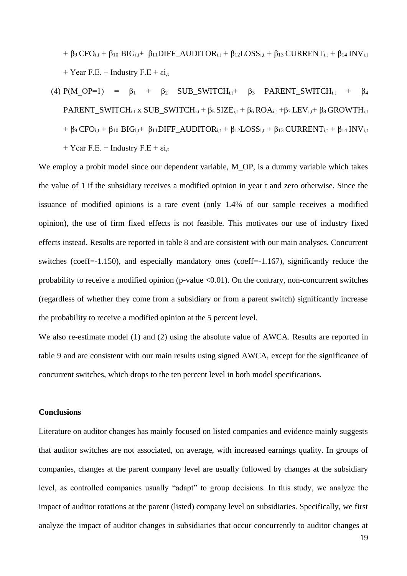$+ \beta_9 \text{CFO}_{i,t} + \beta_{10} \text{BIG}_{i,t} + \beta_{11} \text{DIFF\_AUDITOR}_{i,t} + \beta_{12} \text{LOSS}_{i,t} + \beta_{13} \text{ CURRENT}_{i,t} + \beta_{14} \text{INV}_{i,t}$ + Year F.E. + Industry F.E +  $\varepsilon i_{\text{t}}$ 

(4) 
$$
P(M\_OP=1) = \beta_1 + \beta_2
$$
 SUB\_SWITCH<sub>i,t</sub> +  $\beta_3$  PARENT\_SWITCH<sub>i,t</sub> +  $\beta_4$   
\nPARENT\_SWITCH<sub>i,t</sub> x SUB\_SWITCH<sub>i,t</sub> +  $\beta_5$  SIZE<sub>i,t</sub> +  $\beta_6$  ROA<sub>i,t</sub> + $\beta_7$  LEV<sub>i,t</sub> +  $\beta_8$  GROWTH<sub>i,t</sub>  
\n+  $\beta_9$  CFO<sub>i,t</sub> +  $\beta_{10}$  BIG<sub>i,t</sub> +  $\beta_{11}$  DIFF\_AUDITOR<sub>i,t</sub> +  $\beta_{12}$  LOSS<sub>i,t</sub> +  $\beta_{13}$  CURRENT<sub>i,t</sub> +  $\beta_{14}$  INV<sub>i,t</sub>  
\n+ Year F.E. + Industry F.E +  $\varepsilon i_{,t}$ 

We employ a probit model since our dependent variable, M\_OP, is a dummy variable which takes the value of 1 if the subsidiary receives a modified opinion in year t and zero otherwise. Since the issuance of modified opinions is a rare event (only 1.4% of our sample receives a modified opinion), the use of firm fixed effects is not feasible. This motivates our use of industry fixed effects instead. Results are reported in table 8 and are consistent with our main analyses. Concurrent switches (coeff=-1.150), and especially mandatory ones (coeff=-1.167), significantly reduce the probability to receive a modified opinion (p-value <0.01). On the contrary, non-concurrent switches (regardless of whether they come from a subsidiary or from a parent switch) significantly increase the probability to receive a modified opinion at the 5 percent level.

We also re-estimate model (1) and (2) using the absolute value of AWCA. Results are reported in table 9 and are consistent with our main results using signed AWCA, except for the significance of concurrent switches, which drops to the ten percent level in both model specifications.

#### **Conclusions**

Literature on auditor changes has mainly focused on listed companies and evidence mainly suggests that auditor switches are not associated, on average, with increased earnings quality. In groups of companies, changes at the parent company level are usually followed by changes at the subsidiary level, as controlled companies usually "adapt" to group decisions. In this study, we analyze the impact of auditor rotations at the parent (listed) company level on subsidiaries. Specifically, we first analyze the impact of auditor changes in subsidiaries that occur concurrently to auditor changes at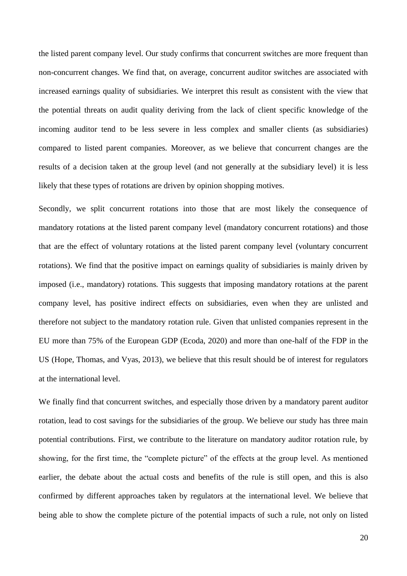the listed parent company level. Our study confirms that concurrent switches are more frequent than non-concurrent changes. We find that, on average, concurrent auditor switches are associated with increased earnings quality of subsidiaries. We interpret this result as consistent with the view that the potential threats on audit quality deriving from the lack of client specific knowledge of the incoming auditor tend to be less severe in less complex and smaller clients (as subsidiaries) compared to listed parent companies. Moreover, as we believe that concurrent changes are the results of a decision taken at the group level (and not generally at the subsidiary level) it is less likely that these types of rotations are driven by opinion shopping motives.

Secondly, we split concurrent rotations into those that are most likely the consequence of mandatory rotations at the listed parent company level (mandatory concurrent rotations) and those that are the effect of voluntary rotations at the listed parent company level (voluntary concurrent rotations). We find that the positive impact on earnings quality of subsidiaries is mainly driven by imposed (i.e., mandatory) rotations. This suggests that imposing mandatory rotations at the parent company level, has positive indirect effects on subsidiaries, even when they are unlisted and therefore not subject to the mandatory rotation rule. Given that unlisted companies represent in the EU more than 75% of the European GDP (Ecoda, 2020) and more than one-half of the FDP in the US (Hope, Thomas, and Vyas, 2013), we believe that this result should be of interest for regulators at the international level.

We finally find that concurrent switches, and especially those driven by a mandatory parent auditor rotation, lead to cost savings for the subsidiaries of the group. We believe our study has three main potential contributions. First, we contribute to the literature on mandatory auditor rotation rule, by showing, for the first time, the "complete picture" of the effects at the group level. As mentioned earlier, the debate about the actual costs and benefits of the rule is still open, and this is also confirmed by different approaches taken by regulators at the international level. We believe that being able to show the complete picture of the potential impacts of such a rule, not only on listed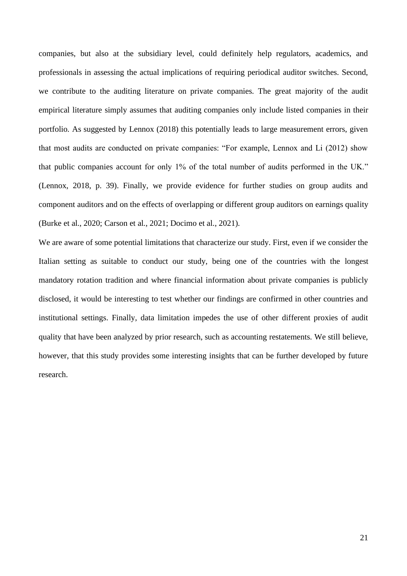companies, but also at the subsidiary level, could definitely help regulators, academics, and professionals in assessing the actual implications of requiring periodical auditor switches. Second, we contribute to the auditing literature on private companies. The great majority of the audit empirical literature simply assumes that auditing companies only include listed companies in their portfolio. As suggested by Lennox (2018) this potentially leads to large measurement errors, given that most audits are conducted on private companies: "For example, Lennox and Li (2012) show that public companies account for only 1% of the total number of audits performed in the UK." (Lennox, 2018, p. 39). Finally, we provide evidence for further studies on group audits and component auditors and on the effects of overlapping or different group auditors on earnings quality (Burke et al., 2020; Carson et al., 2021; Docimo et al., 2021).

We are aware of some potential limitations that characterize our study. First, even if we consider the Italian setting as suitable to conduct our study, being one of the countries with the longest mandatory rotation tradition and where financial information about private companies is publicly disclosed, it would be interesting to test whether our findings are confirmed in other countries and institutional settings. Finally, data limitation impedes the use of other different proxies of audit quality that have been analyzed by prior research, such as accounting restatements. We still believe, however, that this study provides some interesting insights that can be further developed by future research.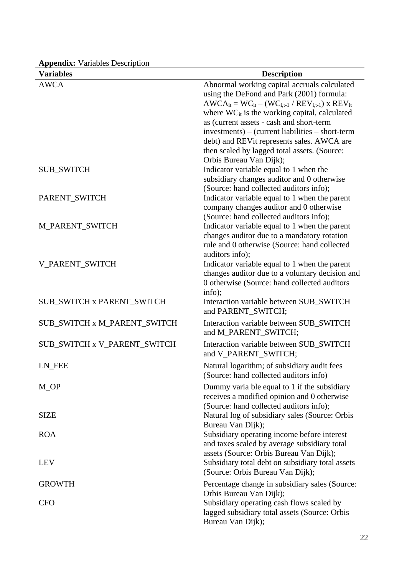| <b>Variables</b>                  | <b>Description</b>                                                                                                                                                                                                                                                                                                 |
|-----------------------------------|--------------------------------------------------------------------------------------------------------------------------------------------------------------------------------------------------------------------------------------------------------------------------------------------------------------------|
| <b>AWCA</b>                       | Abnormal working capital accruals calculated<br>using the DeFond and Park (2001) formula:<br>$AWCA_{it} = WC_{it} - (WC_{i,t-1} / REV_{i,t-1})$ x $REV_{it}$<br>where $WC_{it}$ is the working capital, calculated<br>as (current assets - cash and short-term<br>investments) – (current liabilities – short-term |
|                                   | debt) and REVit represents sales. AWCA are<br>then scaled by lagged total assets. (Source:<br>Orbis Bureau Van Dijk);                                                                                                                                                                                              |
| <b>SUB_SWITCH</b>                 | Indicator variable equal to 1 when the<br>subsidiary changes auditor and 0 otherwise<br>(Source: hand collected auditors info);                                                                                                                                                                                    |
| PARENT_SWITCH                     | Indicator variable equal to 1 when the parent<br>company changes auditor and 0 otherwise<br>(Source: hand collected auditors info);                                                                                                                                                                                |
| M_PARENT_SWITCH                   | Indicator variable equal to 1 when the parent<br>changes auditor due to a mandatory rotation<br>rule and 0 otherwise (Source: hand collected<br>auditors info);                                                                                                                                                    |
| V_PARENT_SWITCH                   | Indicator variable equal to 1 when the parent<br>changes auditor due to a voluntary decision and<br>0 otherwise (Source: hand collected auditors<br>info);                                                                                                                                                         |
| <b>SUB_SWITCH x PARENT_SWITCH</b> | Interaction variable between SUB_SWITCH<br>and PARENT_SWITCH;                                                                                                                                                                                                                                                      |
| SUB_SWITCH x M_PARENT_SWITCH      | Interaction variable between SUB_SWITCH<br>and M_PARENT_SWITCH;                                                                                                                                                                                                                                                    |
| SUB_SWITCH x V_PARENT_SWITCH      | Interaction variable between SUB_SWITCH<br>and V_PARENT_SWITCH;                                                                                                                                                                                                                                                    |
| LN_FEE                            | Natural logarithm; of subsidiary audit fees<br>(Source: hand collected auditors info)                                                                                                                                                                                                                              |
| M_OP                              | Dummy varia ble equal to 1 if the subsidiary<br>receives a modified opinion and 0 otherwise<br>(Source: hand collected auditors info);                                                                                                                                                                             |
| <b>SIZE</b>                       | Natural log of subsidiary sales (Source: Orbis<br>Bureau Van Dijk);                                                                                                                                                                                                                                                |
| <b>ROA</b>                        | Subsidiary operating income before interest<br>and taxes scaled by average subsidiary total<br>assets (Source: Orbis Bureau Van Dijk);                                                                                                                                                                             |
| <b>LEV</b>                        | Subsidiary total debt on subsidiary total assets<br>(Source: Orbis Bureau Van Dijk);                                                                                                                                                                                                                               |
| <b>GROWTH</b>                     | Percentage change in subsidiary sales (Source:<br>Orbis Bureau Van Dijk);                                                                                                                                                                                                                                          |
| <b>CFO</b>                        | Subsidiary operating cash flows scaled by<br>lagged subsidiary total assets (Source: Orbis<br>Bureau Van Dijk);                                                                                                                                                                                                    |

**Appendix:** Variables Description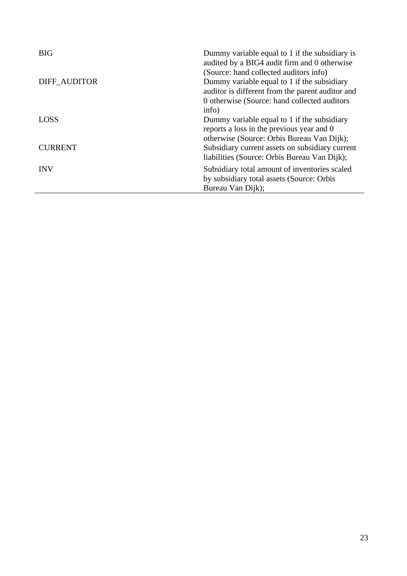| <b>BIG</b>     | Dummy variable equal to 1 if the subsidiary is<br>audited by a BIG4 audit firm and 0 otherwise<br>(Source: hand collected auditors info) |
|----------------|------------------------------------------------------------------------------------------------------------------------------------------|
| DIFF AUDITOR   | Dummy variable equal to 1 if the subsidiary<br>auditor is different from the parent auditor and                                          |
|                | 0 otherwise (Source: hand collected auditors<br>info)                                                                                    |
| <b>LOSS</b>    | Dummy variable equal to 1 if the subsidiary<br>reports a loss in the previous year and 0                                                 |
| <b>CURRENT</b> | otherwise (Source: Orbis Bureau Van Dijk);<br>Subsidiary current assets on subsidiary current                                            |
|                | liabilities (Source: Orbis Bureau Van Dijk);                                                                                             |
| <b>INV</b>     | Subsidiary total amount of inventories scaled                                                                                            |
|                | by subsidiary total assets (Source: Orbis                                                                                                |
|                | Bureau Van Dijk);                                                                                                                        |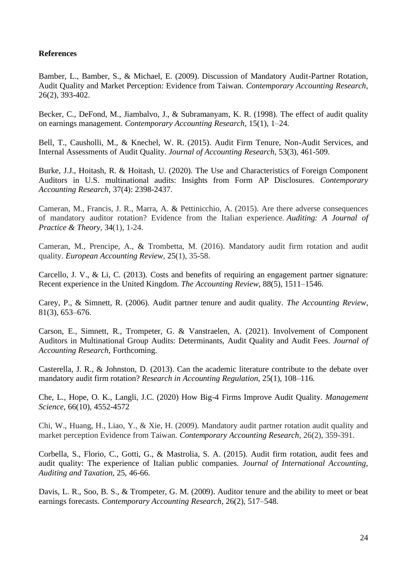## **References**

Bamber, L., Bamber, S., & Michael, E. (2009). Discussion of Mandatory Audit-Partner Rotation, Audit Quality and Market Perception: Evidence from Taiwan. *Contemporary Accounting Research*, 26(2), 393-402.

Becker, C., DeFond, M., Jiambalvo, J., & Subramanyam, K. R. (1998). The effect of audit quality on earnings management. *Contemporary Accounting Research*, 15(1), 1–24.

Bell, T., Causholli, M., & Knechel, W. R. (2015). Audit Firm Tenure, Non-Audit Services, and Internal Assessments of Audit Quality. *Journal of Accounting Research*, 53(3), 461-509.

Burke, J.J., Hoitash, R. & Hoitash, U. (2020). The Use and Characteristics of Foreign Component Auditors in U.S. multinational audits: Insights from Form AP Disclosures. *Contemporary Accounting Research*, 37(4): 2398-2437.

Cameran, M., Francis, J. R., Marra, A. & Pettinicchio, A. (2015). Are there adverse consequences of mandatory auditor rotation? Evidence from the Italian experience. *Auditing: A Journal of Practice & Theory*, 34(1), 1-24.

Cameran, M., Prencipe, A., & Trombetta, M. (2016). Mandatory audit firm rotation and audit quality. *European Accounting Review*, 25(1), 35-58.

Carcello, J. V., & Li, C. (2013). Costs and benefits of requiring an engagement partner signature: Recent experience in the United Kingdom. *The Accounting Review*, 88(5), 1511–1546.

Carey, P., & Simnett, R. (2006). Audit partner tenure and audit quality. *The Accounting Review*, 81(3), 653–676.

Carson, E., Simnett, R., Trompeter, G. & Vanstraelen, A. (2021). Involvement of Component Auditors in Multinational Group Audits: Determinants, Audit Quality and Audit Fees. *Journal of Accounting Research*, Forthcoming.

Casterella, J. R., & Johnston, D. (2013). Can the academic literature contribute to the debate over mandatory audit firm rotation? *Research in Accounting Regulation*, 25(1), 108–116.

Che, L., Hope, O. K., Langli, J.C. (2020) How Big-4 Firms Improve Audit Quality. *Management Science*, 66(10), 4552-4572

Chi, W., Huang, H., Liao, Y., & Xie, H. (2009). Mandatory audit partner rotation audit quality and market perception Evidence from Taiwan. *Contemporary Accounting Research*, 26(2), 359-391.

Corbella, S., Florio, C., Gotti, G., & Mastrolia, S. A. (2015). Audit firm rotation, audit fees and audit quality: The experience of Italian public companies. *Journal of International Accounting, Auditing and Taxation*, 25, 46-66.

Davis, L. R., Soo, B. S., & Trompeter, G. M. (2009). Auditor tenure and the ability to meet or beat earnings forecasts. *Contemporary Accounting Research*, 26(2), 517–548.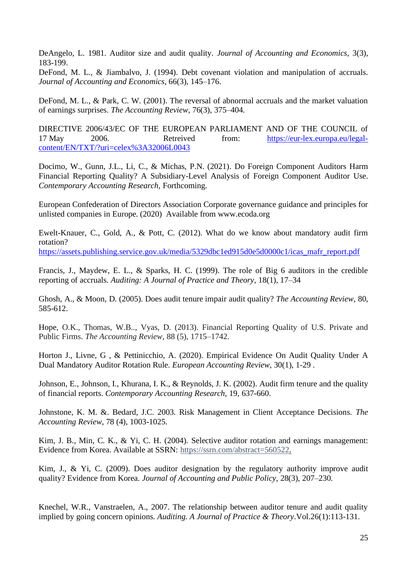DeAngelo, L. 1981. Auditor size and audit quality. *Journal of Accounting and Economics*, 3(3), 183-199.

DeFond, M. L., & Jiambalvo, J. (1994). Debt covenant violation and manipulation of accruals. *Journal of Accounting and Economics*, 66(3), 145–176.

DeFond, M. L., & Park, C. W. (2001). The reversal of abnormal accruals and the market valuation of earnings surprises. *The Accounting Review*, 76(3), 375–404.

DIRECTIVE 2006/43/EC OF THE EUROPEAN PARLIAMENT AND OF THE COUNCIL of 17 May 2006. Retreived from: [https://eur-lex.europa.eu/legal](https://eur-lex.europa.eu/legal-content/EN/TXT/?uri=celex%3A32006L0043)[content/EN/TXT/?uri=celex%3A32006L0043](https://eur-lex.europa.eu/legal-content/EN/TXT/?uri=celex%3A32006L0043)

Docimo, W., Gunn, J.L., Li, C., & Michas, P.N. (2021). Do Foreign Component Auditors Harm Financial Reporting Quality? A Subsidiary-Level Analysis of Foreign Component Auditor Use. *Contemporary Accounting Research*, Forthcoming.

European Confederation of Directors Association Corporate governance guidance and principles for unlisted companies in Europe. (2020) Available from www.ecoda.org

Ewelt-Knauer, C., Gold, A., & Pott, C. (2012). What do we know about mandatory audit firm rotation?

[https://assets.publishing.service.gov.uk/media/5329dbc1ed915d0e5d0000c1/icas\\_mafr\\_report.pdf](https://assets.publishing.service.gov.uk/media/5329dbc1ed915d0e5d0000c1/icas_mafr_report.pdf)

Francis, J., Maydew, E. L., & Sparks, H. C. (1999). The role of Big 6 auditors in the credible reporting of accruals. *Auditing: A Journal of Practice and Theory*, 18(1), 17–34

Ghosh, A., & Moon, D. (2005). Does audit tenure impair audit quality? *The Accounting Review*, 80, 585-612.

Hope, O.K., Thomas, W.B.., Vyas, D. (2013). Financial Reporting Quality of U.S. Private and Public Firms. *The Accounting Review*, 88 (5), 1715–1742.

Horton J., Livne, G , & Pettinicchio, A. (2020). Empirical Evidence On Audit Quality Under A Dual Mandatory Auditor Rotation Rule. *European Accounting Review,* 30(1), 1-29 .

Johnson, E., Johnson, I., Khurana, I. K., & Reynolds, J. K. (2002). Audit firm tenure and the quality of financial reports. *Contemporary Accounting Research*, 19, 637-660.

Johnstone, K. M. &. Bedard, J.C. 2003. Risk Management in Client Acceptance Decisions. *The Accounting Review*, 78 (4), 1003-1025.

Kim, J. B., Min, C. K., & Yi, C. H. (2004). Selective auditor rotation and earnings management: Evidence from Korea. Available at SSRN: [https://ssrn.com/abstract=560522.](https://ssrn.com/abstract=560522)

Kim, J., & Yi, C. (2009). Does auditor designation by the regulatory authority improve audit quality? Evidence from Korea. *Journal of Accounting and Public Policy*, 28(3), 207–230.

Knechel, W.R., Vanstraelen, A., 2007. The relationship between auditor tenure and audit quality implied by going concern opinions. *Auditing. A Journal of Practice & Theory*.Vol.26(1):113-131.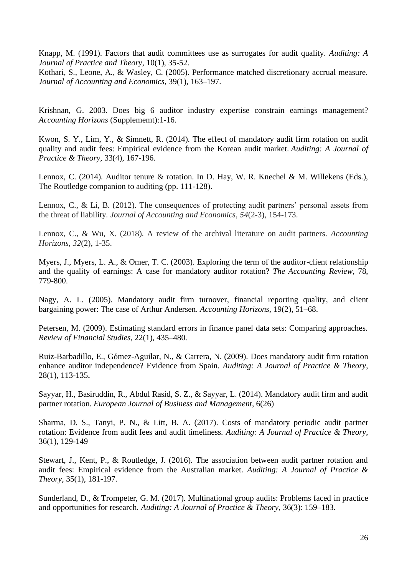Knapp, M. (1991). Factors that audit committees use as surrogates for audit quality. *Auditing: A Journal of Practice and Theory*, 10(1), 35-52.

Kothari, S., Leone, A., & Wasley, C. (2005). Performance matched discretionary accrual measure. *Journal of Accounting and Economics*, 39(1), 163–197.

Krishnan, G. 2003. Does big 6 auditor industry expertise constrain earnings management? *Accounting Horizons* (Supplememt):1-16.

Kwon, S. Y., Lim, Y., & Simnett, R. (2014). The effect of mandatory audit firm rotation on audit quality and audit fees: Empirical evidence from the Korean audit market. *Auditing: A Journal of Practice & Theory*, 33(4), 167-196.

Lennox, C. (2014). Auditor tenure & rotation. In D. Hay, W. R. Knechel & M. Willekens (Eds.), The Routledge companion to auditing (pp. 111-128).

Lennox, C., & Li, B. (2012). The consequences of protecting audit partners' personal assets from the threat of liability. *Journal of Accounting and Economics*, *54*(2-3), 154-173.

Lennox, C., & Wu, X. (2018). A review of the archival literature on audit partners. *Accounting Horizons*, *32*(2), 1-35.

Myers, J., Myers, L. A., & Omer, T. C. (2003). Exploring the term of the auditor-client relationship and the quality of earnings: A case for mandatory auditor rotation? *The Accounting Review*, 78, 779-800.

Nagy, A. L. (2005). Mandatory audit firm turnover, financial reporting quality, and client bargaining power: The case of Arthur Andersen. *Accounting Horizons*, 19(2), 51–68.

Petersen, M. (2009). Estimating standard errors in finance panel data sets: Comparing approaches. *Review of Financial Studies*, 22(1), 435–480.

Ruiz-Barbadillo, E., Gómez-Aguilar, N., & Carrera, N. (2009). Does mandatory audit firm rotation enhance auditor independence? Evidence from Spain. *Auditing: A Journal of Practice & Theory*, 28(1), 113-135**.**

Sayyar, H., Basiruddin, R., Abdul Rasid, S. Z., & Sayyar, L. (2014). Mandatory audit firm and audit partner rotation. *European Journal of Business and Management*, 6(26)

Sharma, D. S., Tanyi, P. N., & Litt, B. A. (2017). Costs of mandatory periodic audit partner rotation: Evidence from audit fees and audit timeliness. *Auditing: A Journal of Practice & Theory*, 36(1), 129-149

Stewart, J., Kent, P., & Routledge, J. (2016). The association between audit partner rotation and audit fees: Empirical evidence from the Australian market. *Auditing: A Journal of Practice & Theory*, 35(1), 181-197.

Sunderland, D., & Trompeter, G. M. (2017). Multinational group audits: Problems faced in practice and opportunities for research. *Auditing: A Journal of Practice & Theory*, 36(3): 159–183.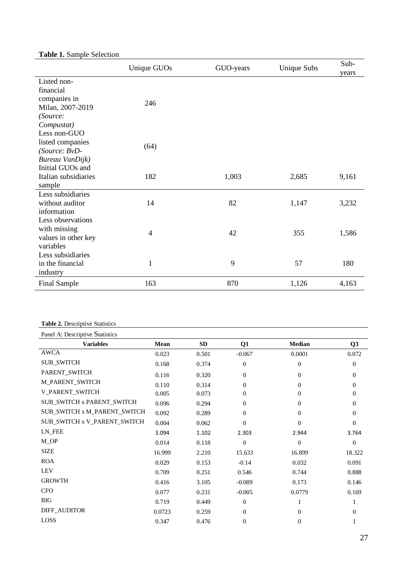## **Table 1.** Sample Selection

|                                                                                                        | Unique GUOs    | GUO-years | <b>Unique Subs</b> | Sub-<br>years |
|--------------------------------------------------------------------------------------------------------|----------------|-----------|--------------------|---------------|
| Listed non-<br>financial<br>companies in<br>Milan, 2007-2019<br>(Source:                               | 246            |           |                    |               |
| Compustat)<br>Less non-GUO<br>listed companies<br>(Source: BvD-<br>Bureau VanDijk)<br>Initial GUOs and | (64)           |           |                    |               |
| Italian subsidiaries<br>sample                                                                         | 182            | 1,003     | 2,685              | 9,161         |
| Less subsidiaries<br>without auditor<br>information                                                    | 14             | 82        | 1,147              | 3,232         |
| Less observations<br>with missing<br>values in other key<br>variables                                  | $\overline{4}$ | 42        | 355                | 1,586         |
| Less subsidiaries<br>in the financial<br>industry                                                      | 1              | 9         | 57                 | 180           |
| <b>Final Sample</b>                                                                                    | 163            | 870       | 1,126              | 4,163         |

### **Table 2.** Descriptive Statistics

| Panel A: Descriptive Statistics |        |       |                  |              |                |
|---------------------------------|--------|-------|------------------|--------------|----------------|
| <b>Variables</b>                | Mean   | SD    | Q1               | Median       | Q3             |
| AWCA                            | 0.023  | 0.501 | $-0.067$         | 0.0001       | 0.072          |
| <b>SUB_SWITCH</b>               | 0.168  | 0.374 | $\overline{0}$   | $\mathbf{0}$ | $\overline{0}$ |
| PARENT_SWITCH                   | 0.116  | 0.320 | $\theta$         | $\Omega$     | $\Omega$       |
| M_PARENT_SWITCH                 | 0.110  | 0.314 | $\overline{0}$   | $\Omega$     | $\Omega$       |
| V_PARENT_SWITCH                 | 0.005  | 0.073 | $\overline{0}$   | $\Omega$     | $\Omega$       |
| SUB_SWITCH x PARENT_SWITCH      | 0.096  | 0.294 | $\overline{0}$   | $\Omega$     | 0              |
| SUB_SWITCH x M_PARENT_SWITCH    | 0.092  | 0.289 | $\overline{0}$   | $\Omega$     | $\Omega$       |
| SUB_SWITCH x V_PARENT_SWITCH    | 0.004  | 0.062 | $\theta$         | $\Omega$     | 0              |
| LN FEE                          | 3.094  | 1.102 | 2.303            | 2.944        | 3.764          |
| $M$ <sup>OP</sup>               | 0.014  | 0.118 | $\overline{0}$   | $\Omega$     | $\Omega$       |
| <b>SIZE</b>                     | 16.999 | 2.210 | 15.633           | 16.899       | 18.322         |
| <b>ROA</b>                      | 0.029  | 0.153 | $-0.14$          | 0.032        | 0.091          |
| <b>LEV</b>                      | 0.709  | 0.251 | 0.546            | 0.744        | 0.888          |
| <b>GROWTH</b>                   | 0.416  | 3.105 | $-0.089$         | 0.173        | 0.146          |
| <b>CFO</b>                      | 0.077  | 0.231 | $-0.005$         | 0.0779       | 0.169          |
| <b>BIG</b>                      | 0.719  | 0.449 | $\overline{0}$   |              |                |
| DIFF_AUDITOR                    | 0.0723 | 0.259 | $\overline{0}$   | $\Omega$     | 0              |
| LOSS                            | 0.347  | 0.476 | $\boldsymbol{0}$ | $\Omega$     |                |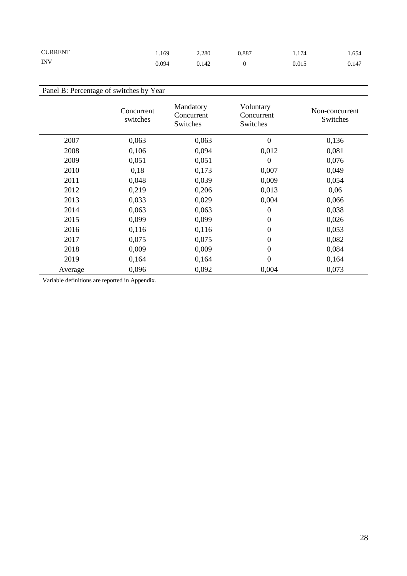| <b>CURRENT</b> | 1.169 | 2.280 | 0.887 | 1.174 | 654   |
|----------------|-------|-------|-------|-------|-------|
| INV            | 0.094 | 0.142 |       | 0.015 | 0.147 |

| Panel B: Percentage of switches by Year |                        |                                     |                                     |                            |  |  |
|-----------------------------------------|------------------------|-------------------------------------|-------------------------------------|----------------------------|--|--|
|                                         | Concurrent<br>switches | Mandatory<br>Concurrent<br>Switches | Voluntary<br>Concurrent<br>Switches | Non-concurrent<br>Switches |  |  |
| 2007                                    | 0,063                  | 0,063                               | $\boldsymbol{0}$                    | 0,136                      |  |  |
| 2008                                    | 0,106                  | 0,094                               | 0,012                               | 0,081                      |  |  |
| 2009                                    | 0,051                  | 0,051                               | $\boldsymbol{0}$                    | 0,076                      |  |  |
| 2010                                    | 0,18                   | 0,173                               | 0,007                               | 0,049                      |  |  |
| 2011                                    | 0,048                  | 0,039                               | 0,009                               | 0,054                      |  |  |
| 2012                                    | 0,219                  | 0,206                               | 0,013                               | 0,06                       |  |  |
| 2013                                    | 0,033                  | 0,029                               | 0,004                               | 0,066                      |  |  |
| 2014                                    | 0,063                  | 0,063                               | $\boldsymbol{0}$                    | 0,038                      |  |  |
| 2015                                    | 0,099                  | 0,099                               | $\boldsymbol{0}$                    | 0,026                      |  |  |
| 2016                                    | 0,116                  | 0,116                               | 0                                   | 0,053                      |  |  |
| 2017                                    | 0,075                  | 0,075                               | $\theta$                            | 0,082                      |  |  |
| 2018                                    | 0,009                  | 0,009                               | $\boldsymbol{0}$                    | 0,084                      |  |  |
| 2019                                    | 0,164                  | 0,164                               | $\theta$                            | 0,164                      |  |  |
| Average                                 | 0,096                  | 0,092                               | 0.004                               | 0,073                      |  |  |

Variable definitions are reported in Appendix.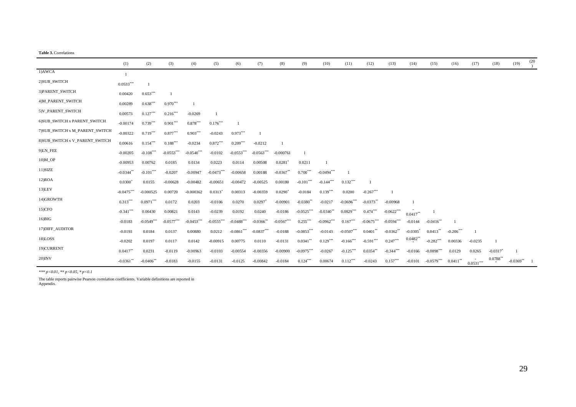|                                 | (1)          | (2)                     | (3)          | (4)          | (5)                   | (6)                      | (7)          | (8)          | (9)                     | (10)                    | (11)                    | (12)                     | (13)         | (14)                   | (15)         | (16)        | (17)           | (18)      | (19)         | (20) |
|---------------------------------|--------------|-------------------------|--------------|--------------|-----------------------|--------------------------|--------------|--------------|-------------------------|-------------------------|-------------------------|--------------------------|--------------|------------------------|--------------|-------------|----------------|-----------|--------------|------|
| 1)AWCA                          |              |                         |              |              |                       |                          |              |              |                         |                         |                         |                          |              |                        |              |             |                |           |              |      |
| 2) SUB_SWITCH                   | $0.0533***$  |                         |              |              |                       |                          |              |              |                         |                         |                         |                          |              |                        |              |             |                |           |              |      |
| 3) PARENT SWITCH                | 0.00420      | $0.653***$              |              |              |                       |                          |              |              |                         |                         |                         |                          |              |                        |              |             |                |           |              |      |
| 4) M_PARENT_SWITCH              | 0.00289      | $0.638***$              | $0.970***$   |              |                       |                          |              |              |                         |                         |                         |                          |              |                        |              |             |                |           |              |      |
| 5)V_PARENT_SWITCH               | 0.00573      | $0.127***$              | $0.216***$   | $-0.0269$    |                       |                          |              |              |                         |                         |                         |                          |              |                        |              |             |                |           |              |      |
| 6) SUB_SWITCH x PARENT_SWITCH   | $-0.00174$   | $0.739***$              | $0.901***$   | $0.878***$   | $0.176***$            |                          |              |              |                         |                         |                         |                          |              |                        |              |             |                |           |              |      |
| 7) SUB SWITCH x M PARENT SWITCH | $-0.00322$   | $0.719***$              | $0.877***$   | $0.903***$   | $-0.0243$             | $0.973***$               |              |              |                         |                         |                         |                          |              |                        |              |             |                |           |              |      |
| 8) SUB SWITCH x V PARENT SWITCH | 0.00616      | $0.154***$              | $0.188***$   | $-0.0234$    | $0.872***$            | $0.209***$               | $-0.0212$    |              |                         |                         |                         |                          |              |                        |              |             |                |           |              |      |
| 9)LN_FEE                        | $-0.00205$   | $-0.108***$             | $-0.0553***$ | $-0.0540***$ | $-0.0102$             | $-0.0553***$             | $-0.0563***$ | $-0.000761$  |                         |                         |                         |                          |              |                        |              |             |                |           |              |      |
| $10$ ) $M$ <sup>OP</sup>        | $-0.00953$   | 0.00762                 | 0.0185       | 0.0134       | 0.0223                | 0.0114                   | 0.00508      | 0.0281       | 0.0211                  |                         |                         |                          |              |                        |              |             |                |           |              |      |
| 11)SIZE                         | $-0.0344**$  | $-0.101***$             | $-0.0207$    | $-0.00947$   | $-0.0473***$          | $-0.00658$               | 0.00188      | $-0.0367**$  | $0.700***$              | $-0.0494***$            |                         |                          |              |                        |              |             |                |           |              |      |
| 12)ROA                          | $0.0300^*$   | 0.0155                  | $-0.00628$   | $-0.00482$   | $-0.00651$            | $-0.00472$               | $-0.00525$   | 0.00180      | $-0.101$ <sup>***</sup> | $-0.144$ <sup>***</sup> | $0.132***$              |                          |              |                        |              |             |                |           |              |      |
| $13$ ) $LEV$                    | $-0.0475***$ | $-0.000525$             | 0.00720      | $-0.000362$  | $0.0313$ <sup>*</sup> | 0.00313                  | $-0.00359$   | $0.0290*$    | $-0.0184$               | $0.139***$              | 0.0200                  | $-0.267***$              |              |                        |              |             |                |           |              |      |
| 14)GROWTH                       | $0.313***$   | $0.0971***$             | 0.0172       | 0.0203       | $-0.0106$             | 0.0270                   | 0.0297       | $-0.00901$   | $-0.0380$ **            | $-0.0217$               | $-0.0696$ ***           | $-0.0373**$              | $-0.00968$   |                        |              |             |                |           |              |      |
| $15)$ CFO                       | $-0.341$ *** | 0.00430                 | 0.00821      | 0.0143       | $-0.0239$             | 0.0192                   | 0.0240       | $-0.0186$    | $-0.0525***$            | $-0.0340$ **            | $0.0829***$             | $0.474***$               | $-0.0622***$ | $0.0417***$            |              |             |                |           |              |      |
| $16)$ BIG                       | $-0.0183$    | $-0.0549***$            | $-0.0577***$ | $-0.0453***$ | $-0.0555***$          | $-0.0488$ <sup>***</sup> | $-0.0366$ ** | $-0.0567***$ | $0.255***$              | $-0.0962$ ***           | $0.167***$              | $-0.0675$ <sup>***</sup> | $-0.0594***$ | $-0.0144$              | $-0.0416$ ** |             |                |           |              |      |
| 17) DIFF AUDITOR                | $-0.0193$    | 0.0184                  | 0.0137       | 0.00880      | 0.0212                | $-0.0861***$             | $-0.0837***$ | $-0.0188$    | $-0.0853***$            | $-0.0143$               | $-0.0507***$            | $0.0401**$               | $-0.0362**$  | $-0.0305$ <sup>*</sup> | $0.0413***$  | $-0.206***$ | $\overline{1}$ |           |              |      |
| 18)LOSS                         | $-0.0202$    | 0.0197                  | 0.0117       | 0.0142       | $-0.00915$            | 0.00775                  | 0.0110       | $-0.0131$    | $0.0341***$             | $0.129***$              | $-0.166$ <sup>***</sup> | $-0.591***$              | $0.247***$   | $0.0482$ <sup>*</sup>  | $-0.282***$  | 0.00336     | $-0.0235$      |           |              |      |
| 19)CURRENT                      | $0.0417**$   | 0.0231                  | $-0.0119$    | $-0.00963$   | $-0.0103$             | $-0.00554$               | $-0.00356$   | $-0.00900$   | $-0.0975***$            | $-0.0267$               | $-0.125$ <sup>***</sup> | $0.0354**$               | $-0.344***$  | $-0.0166$              | $-0.0898***$ | 0.0129      | 0.0265         | $-0.0317$ |              |      |
| $20$ ) $INV$                    | $-0.0361$ ** | $-0.0406$ <sup>**</sup> | $-0.0183$    | $-0.0155$    | $-0.0131$             | $-0.0125$                | $-0.00842$   | $-0.0184$    | $0.124***$              | 0.00674                 | $0.112***$              | $-0.0243$                | $0.157***$   | $-0.0101$              | $-0.0579***$ | $0.0411$ ** | $0.0531***$    | 0.0788    | $-0.0369$ ** |      |

*\*\*\* p<0.01, \*\* p<0.05, \* p<0.1*

The table reports pairwise Pearson correlation coefficients. Variable definitions are reported in Appendix.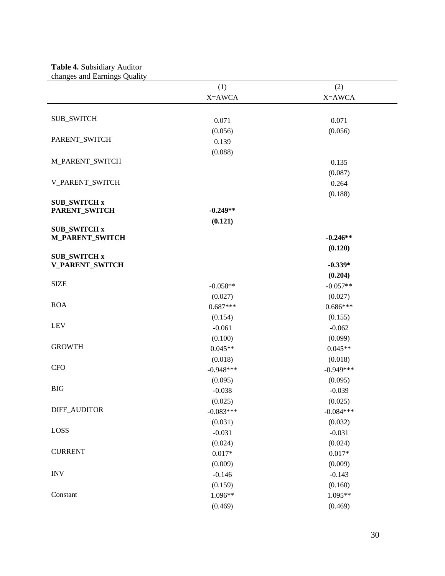## **Table 4.** Subsidiary Auditor

 $\overline{\phantom{a}}$ 

changes and Earnings Quality

|                        | (1)         | (2)         |
|------------------------|-------------|-------------|
|                        | X=AWCA      | X=AWCA      |
|                        |             |             |
| <b>SUB_SWITCH</b>      | 0.071       | 0.071       |
|                        | (0.056)     | (0.056)     |
| PARENT_SWITCH          | 0.139       |             |
|                        | (0.088)     |             |
| <b>M_PARENT_SWITCH</b> |             | 0.135       |
|                        |             | (0.087)     |
| V_PARENT_SWITCH        |             | 0.264       |
|                        |             | (0.188)     |
| <b>SUB_SWITCH x</b>    |             |             |
| PARENT_SWITCH          | $-0.249**$  |             |
| <b>SUB_SWITCH x</b>    | (0.121)     |             |
| <b>M_PARENT_SWITCH</b> |             | $-0.246**$  |
|                        |             | (0.120)     |
| <b>SUB_SWITCH x</b>    |             |             |
| <b>V_PARENT_SWITCH</b> |             | $-0.339*$   |
| <b>SIZE</b>            |             | (0.204)     |
|                        | $-0.058**$  | $-0.057**$  |
| <b>ROA</b>             | (0.027)     | (0.027)     |
|                        | $0.687***$  | $0.686***$  |
| <b>LEV</b>             | (0.154)     | (0.155)     |
|                        | $-0.061$    | $-0.062$    |
| <b>GROWTH</b>          | (0.100)     | (0.099)     |
|                        | $0.045**$   | $0.045**$   |
| <b>CFO</b>             | (0.018)     | (0.018)     |
|                        | $-0.948***$ | $-0.949***$ |
| <b>BIG</b>             | (0.095)     | (0.095)     |
|                        | $-0.038$    | $-0.039$    |
| DIFF_AUDITOR           | (0.025)     | (0.025)     |
|                        | $-0.083***$ | $-0.084***$ |
| LOSS                   | (0.031)     | (0.032)     |
|                        | $-0.031$    | $-0.031$    |
| <b>CURRENT</b>         | (0.024)     | (0.024)     |
|                        | $0.017*$    | $0.017*$    |
| <b>INV</b>             | (0.009)     | (0.009)     |
|                        | $-0.146$    | $-0.143$    |
| Constant               | (0.159)     | (0.160)     |
|                        | 1.096**     | 1.095**     |
|                        | (0.469)     | (0.469)     |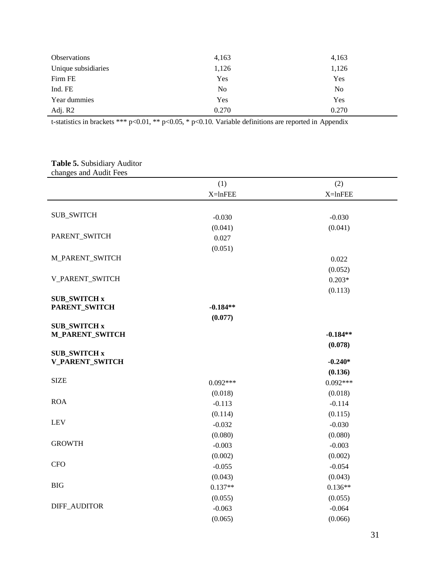| <b>Observations</b> | 4,163          | 4,163          |
|---------------------|----------------|----------------|
| Unique subsidiaries | 1,126          | 1,126          |
| Firm FE             | Yes            | Yes            |
| Ind. FE             | N <sub>o</sub> | N <sub>0</sub> |
| Year dummies        | Yes            | Yes            |
| Adj. R2             | 0.270          | 0.270          |

## **Table 5.** Subsidiary Auditor

|  |  | changes and Audit Fees |  |
|--|--|------------------------|--|
|--|--|------------------------|--|

| $\alpha$ changed and tradit teed              |            |              |
|-----------------------------------------------|------------|--------------|
|                                               | (1)        | (2)          |
|                                               | $X=lnFEE$  | $X = ln$ FEE |
|                                               |            |              |
| <b>SUB_SWITCH</b>                             | $-0.030$   | $-0.030$     |
|                                               | (0.041)    | (0.041)      |
| PARENT_SWITCH                                 | 0.027      |              |
|                                               | (0.051)    |              |
| M_PARENT_SWITCH                               |            | 0.022        |
|                                               |            | (0.052)      |
| V_PARENT_SWITCH                               |            | $0.203*$     |
|                                               |            | (0.113)      |
| <b>SUB_SWITCH x</b>                           |            |              |
| PARENT_SWITCH                                 | $-0.184**$ |              |
|                                               | (0.077)    |              |
| <b>SUB_SWITCH x</b><br><b>M_PARENT_SWITCH</b> |            | $-0.184**$   |
|                                               |            | (0.078)      |
| <b>SUB_SWITCH x</b>                           |            |              |
| <b>V_PARENT_SWITCH</b>                        |            | $-0.240*$    |
|                                               |            | (0.136)      |
| <b>SIZE</b>                                   | $0.092***$ | $0.092***$   |
|                                               | (0.018)    | (0.018)      |
| <b>ROA</b>                                    | $-0.113$   | $-0.114$     |
|                                               | (0.114)    | (0.115)      |
| <b>LEV</b>                                    | $-0.032$   | $-0.030$     |
|                                               | (0.080)    | (0.080)      |
| <b>GROWTH</b>                                 | $-0.003$   | $-0.003$     |
|                                               | (0.002)    | (0.002)      |
| <b>CFO</b>                                    | $-0.055$   | $-0.054$     |
|                                               | (0.043)    | (0.043)      |
| <b>BIG</b>                                    | $0.137**$  | $0.136**$    |
|                                               | (0.055)    | (0.055)      |
| DIFF_AUDITOR                                  | $-0.063$   | $-0.064$     |
|                                               | (0.065)    | (0.066)      |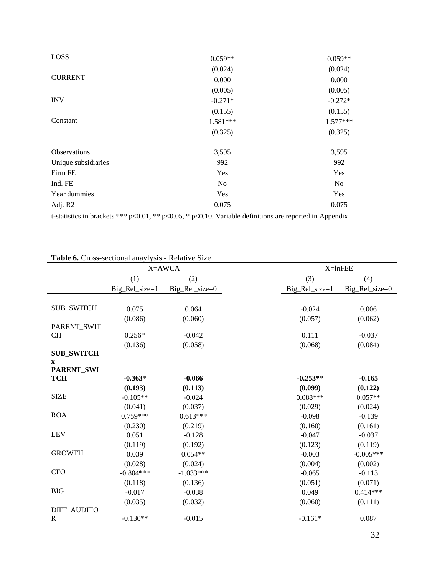| LOSS                | $0.059**$ | $0.059**$  |  |
|---------------------|-----------|------------|--|
|                     | (0.024)   | (0.024)    |  |
| <b>CURRENT</b>      | 0.000     | 0.000      |  |
|                     | (0.005)   | (0.005)    |  |
| <b>INV</b>          | $-0.271*$ | $-0.272*$  |  |
|                     | (0.155)   | (0.155)    |  |
| Constant            | 1.581***  | $1.577***$ |  |
|                     | (0.325)   | (0.325)    |  |
| Observations        | 3,595     | 3,595      |  |
| Unique subsidiaries | 992       | 992        |  |
| Firm FE             | Yes       | Yes        |  |
| Ind. FE             | <b>No</b> | No         |  |
| Year dummies        | Yes       | Yes        |  |
| Adj. R2             | 0.075     | 0.075      |  |

# **Table 6.** Cross-sectional anaylysis - Relative Size

| <b>Easily 0.</b> Cross securities analytysis exercitive size<br>X=AWCA |                  |                | $X = ln$ FEE       |                |
|------------------------------------------------------------------------|------------------|----------------|--------------------|----------------|
|                                                                        | (1)              | (2)            | (3)                | (4)            |
|                                                                        | $Big_Rel_size=1$ | Big_Rel_size=0 | $Big_{Rel_size=1}$ | Big_Rel_size=0 |
|                                                                        |                  |                |                    |                |
| <b>SUB_SWITCH</b>                                                      | 0.075            | 0.064          | $-0.024$           | 0.006          |
|                                                                        | (0.086)          | (0.060)        | (0.057)            | (0.062)        |
| PARENT_SWIT                                                            |                  |                |                    |                |
| <b>CH</b>                                                              | $0.256*$         | $-0.042$       | 0.111              | $-0.037$       |
|                                                                        | (0.136)          | (0.058)        | (0.068)            | (0.084)        |
| <b>SUB_SWITCH</b>                                                      |                  |                |                    |                |
| $\mathbf X$                                                            |                  |                |                    |                |
| <b>PARENT_SWI</b><br><b>TCH</b>                                        | $-0.363*$        | $-0.066$       | $-0.253**$         | $-0.165$       |
|                                                                        | (0.193)          | (0.113)        | (0.099)            | (0.122)        |
| <b>SIZE</b>                                                            | $-0.105**$       | $-0.024$       | $0.088***$         | $0.057**$      |
|                                                                        | (0.041)          | (0.037)        | (0.029)            | (0.024)        |
| <b>ROA</b>                                                             | $0.759***$       | $0.613***$     | $-0.098$           | $-0.139$       |
|                                                                        | (0.230)          | (0.219)        | (0.160)            | (0.161)        |
| <b>LEV</b>                                                             | 0.051            | $-0.128$       | $-0.047$           | $-0.037$       |
|                                                                        | (0.119)          | (0.192)        | (0.123)            | (0.119)        |
| <b>GROWTH</b>                                                          | 0.039            | $0.054**$      | $-0.003$           | $-0.005***$    |
|                                                                        | (0.028)          | (0.024)        | (0.004)            | (0.002)        |
| <b>CFO</b>                                                             | $-0.804***$      | $-1.033***$    | $-0.065$           | $-0.113$       |
|                                                                        | (0.118)          | (0.136)        | (0.051)            | (0.071)        |
| <b>BIG</b>                                                             | $-0.017$         | $-0.038$       | 0.049              | $0.414***$     |
|                                                                        | (0.035)          | (0.032)        | (0.060)            | (0.111)        |
| DIFF_AUDITO                                                            |                  |                |                    |                |
| $\mathbb{R}$                                                           | $-0.130**$       | $-0.015$       | $-0.161*$          | 0.087          |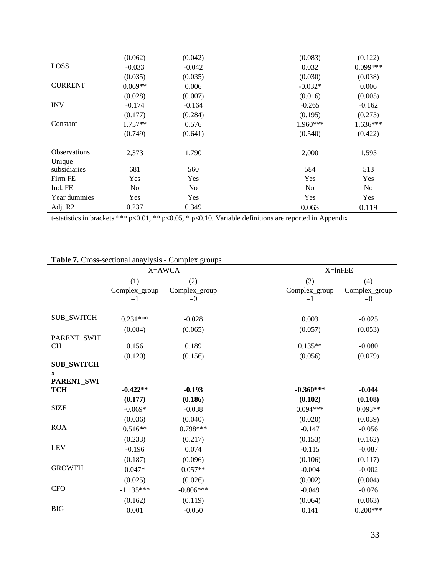|                               | (0.062)   | (0.042)        | (0.083)        | (0.122)        |
|-------------------------------|-----------|----------------|----------------|----------------|
| LOSS                          | $-0.033$  | $-0.042$       | 0.032          | $0.099***$     |
|                               | (0.035)   | (0.035)        | (0.030)        | (0.038)        |
| <b>CURRENT</b>                | $0.069**$ | 0.006          | $-0.032*$      | 0.006          |
|                               | (0.028)   | (0.007)        | (0.016)        | (0.005)        |
| <b>INV</b>                    | $-0.174$  | $-0.164$       | $-0.265$       | $-0.162$       |
|                               | (0.177)   | (0.284)        | (0.195)        | (0.275)        |
| Constant                      | $1.757**$ | 0.576          | $1.960***$     | 1.636***       |
|                               | (0.749)   | (0.641)        | (0.540)        | (0.422)        |
| <b>Observations</b><br>Unique | 2,373     | 1,790          | 2,000          | 1,595          |
| subsidiaries                  | 681       | 560            | 584            | 513            |
| Firm FE                       | Yes       | Yes            | Yes            | Yes            |
| Ind. FE                       | No        | N <sub>o</sub> | N <sub>o</sub> | N <sub>o</sub> |
| Year dummies                  | Yes       | Yes            | Yes            | Yes            |
| Adj. R2                       | 0.237     | 0.349          | 0.063          | 0.119          |

|                                  | $\epsilon$ 1033 Sectional anayrysis $\epsilon$ ompre $\alpha$ groups<br>X=AWCA |                        | X=lnFEE                                         |
|----------------------------------|--------------------------------------------------------------------------------|------------------------|-------------------------------------------------|
|                                  | (1)                                                                            | (2)                    | (3)<br>(4)                                      |
|                                  | Complex_group<br>$=1$                                                          | Complex_group<br>$= 0$ | Complex_group<br>Complex_group<br>$= 0$<br>$=1$ |
|                                  |                                                                                |                        |                                                 |
| <b>SUB_SWITCH</b>                | $0.231***$                                                                     | $-0.028$               | 0.003<br>$-0.025$                               |
|                                  | (0.084)                                                                        | (0.065)                | (0.057)<br>(0.053)                              |
| PARENT_SWIT                      |                                                                                |                        |                                                 |
| CH                               | 0.156                                                                          | 0.189                  | $0.135**$<br>$-0.080$                           |
| <b>SUB_SWITCH</b><br>$\mathbf X$ | (0.120)                                                                        | (0.156)                | (0.056)<br>(0.079)                              |
| PARENT_SWI<br><b>TCH</b>         | $-0.422**$                                                                     | $-0.193$               | $-0.360***$<br>$-0.044$                         |
|                                  | (0.177)                                                                        | (0.186)                | (0.102)<br>(0.108)                              |
| <b>SIZE</b>                      | $-0.069*$                                                                      | $-0.038$               | $0.094***$<br>$0.093**$                         |
|                                  | (0.036)                                                                        | (0.040)                | (0.020)<br>(0.039)                              |
| <b>ROA</b>                       | $0.516**$                                                                      | 0.798***               | $-0.147$<br>$-0.056$                            |
|                                  | (0.233)                                                                        | (0.217)                | (0.153)<br>(0.162)                              |
| <b>LEV</b>                       | $-0.196$                                                                       | 0.074                  | $-0.115$<br>$-0.087$                            |
|                                  | (0.187)                                                                        | (0.096)                | (0.106)<br>(0.117)                              |
| <b>GROWTH</b>                    | $0.047*$                                                                       | $0.057**$              | $-0.004$<br>$-0.002$                            |
|                                  | (0.025)                                                                        | (0.026)                | (0.002)<br>(0.004)                              |
| <b>CFO</b>                       | $-1.135***$                                                                    | $-0.806***$            | $-0.049$<br>$-0.076$                            |
|                                  | (0.162)                                                                        | (0.119)                | (0.063)<br>(0.064)                              |
| $_{\rm BIG}$                     | 0.001                                                                          | $-0.050$               | 0.141<br>$0.200***$                             |

**Table 7.** Cross-sectional anaylysis - Complex groups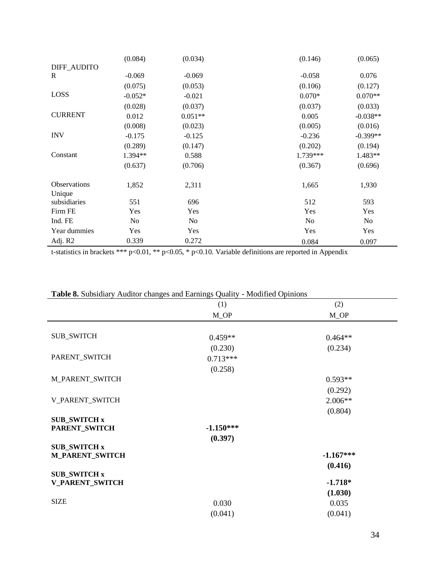|                               | (0.084)        | (0.034)        | (0.146)        | (0.065)        |
|-------------------------------|----------------|----------------|----------------|----------------|
| DIFF_AUDITO                   |                |                |                |                |
| R                             | $-0.069$       | $-0.069$       | $-0.058$       | 0.076          |
|                               | (0.075)        | (0.053)        | (0.106)        | (0.127)        |
| LOSS                          | $-0.052*$      | $-0.021$       | $0.070*$       | $0.070**$      |
|                               | (0.028)        | (0.037)        | (0.037)        | (0.033)        |
| <b>CURRENT</b>                | 0.012          | $0.051**$      | 0.005          | $-0.038**$     |
|                               | (0.008)        | (0.023)        | (0.005)        | (0.016)        |
| <b>INV</b>                    | $-0.175$       | $-0.125$       | $-0.236$       | $-0.399**$     |
|                               | (0.289)        | (0.147)        | (0.202)        | (0.194)        |
| Constant                      | $1.394**$      | 0.588          | 1.739***       | 1.483**        |
|                               | (0.637)        | (0.706)        | (0.367)        | (0.696)        |
| <b>Observations</b><br>Unique | 1,852          | 2,311          | 1,665          | 1,930          |
| subsidiaries                  | 551            | 696            | 512            | 593            |
| Firm FE                       | Yes            | Yes            | Yes            | Yes            |
| Ind. FE                       | N <sub>0</sub> | N <sub>0</sub> | N <sub>0</sub> | N <sub>0</sub> |
| Year dummies                  | Yes            | Yes            | Yes            | Yes            |
| Adj. R2                       | 0.339          | 0.272          | 0.084          | 0.097          |

|                        | (1)               | (2)               |
|------------------------|-------------------|-------------------|
|                        | $M$ <sup>OP</sup> | $M$ <sup>OP</sup> |
|                        |                   |                   |
| <b>SUB_SWITCH</b>      | $0.459**$         | $0.464**$         |
|                        | (0.230)           | (0.234)           |
| PARENT_SWITCH          | $0.713***$        |                   |
|                        | (0.258)           |                   |
| M_PARENT_SWITCH        |                   | $0.593**$         |
|                        |                   | (0.292)           |
| V_PARENT_SWITCH        |                   | $2.006**$         |
|                        |                   | (0.804)           |
| <b>SUB_SWITCH x</b>    |                   |                   |
| PARENT_SWITCH          | $-1.150***$       |                   |
| <b>SUB_SWITCH x</b>    | (0.397)           |                   |
| <b>M_PARENT_SWITCH</b> |                   | $-1.167***$       |
|                        |                   | (0.416)           |
| <b>SUB_SWITCH x</b>    |                   |                   |
| <b>V_PARENT_SWITCH</b> |                   | $-1.718*$         |
|                        |                   | (1.030)           |
| <b>SIZE</b>            | 0.030             | 0.035             |
|                        | (0.041)           | (0.041)           |

## **Table 8.** Subsidiary Auditor changes and Earnings Quality - Modified Opinions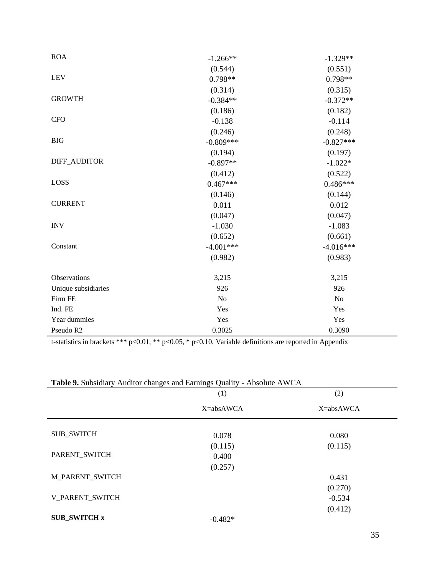| <b>ROA</b>          | $-1.266**$  | $-1.329**$     |
|---------------------|-------------|----------------|
|                     | (0.544)     | (0.551)        |
| <b>LEV</b>          | $0.798**$   | $0.798**$      |
|                     | (0.314)     | (0.315)        |
| <b>GROWTH</b>       | $-0.384**$  | $-0.372**$     |
|                     | (0.186)     | (0.182)        |
| <b>CFO</b>          | $-0.138$    | $-0.114$       |
|                     | (0.246)     | (0.248)        |
| <b>BIG</b>          | $-0.809***$ | $-0.827***$    |
|                     | (0.194)     | (0.197)        |
| DIFF_AUDITOR        | $-0.897**$  | $-1.022*$      |
|                     | (0.412)     | (0.522)        |
| LOSS                | $0.467***$  | $0.486***$     |
|                     | (0.146)     | (0.144)        |
| <b>CURRENT</b>      | 0.011       | 0.012          |
|                     | (0.047)     | (0.047)        |
| <b>INV</b>          | $-1.030$    | $-1.083$       |
|                     | (0.652)     | (0.661)        |
| Constant            | $-4.001***$ | $-4.016***$    |
|                     | (0.982)     | (0.983)        |
| Observations        | 3,215       | 3,215          |
| Unique subsidiaries | 926         | 926            |
| Firm FE             | No          | N <sub>o</sub> |
| Ind. FE             | Yes         | Yes            |
| Year dummies        | Yes         | Yes            |
| Pseudo R2           | 0.3025      | 0.3090         |

|                        | (1)       | (2)       |
|------------------------|-----------|-----------|
|                        | X=absAWCA | X=absAWCA |
| <b>SUB_SWITCH</b>      | 0.078     | 0.080     |
|                        | (0.115)   | (0.115)   |
| PARENT_SWITCH          | 0.400     |           |
|                        | (0.257)   |           |
| <b>M_PARENT_SWITCH</b> |           | 0.431     |
|                        |           | (0.270)   |
| V_PARENT_SWITCH        |           | $-0.534$  |
|                        |           | (0.412)   |
| <b>SUB SWITCH x</b>    | $-0.482*$ |           |

**Table 9.** Subsidiary Auditor changes and Earnings Quality - Absolute AWCA